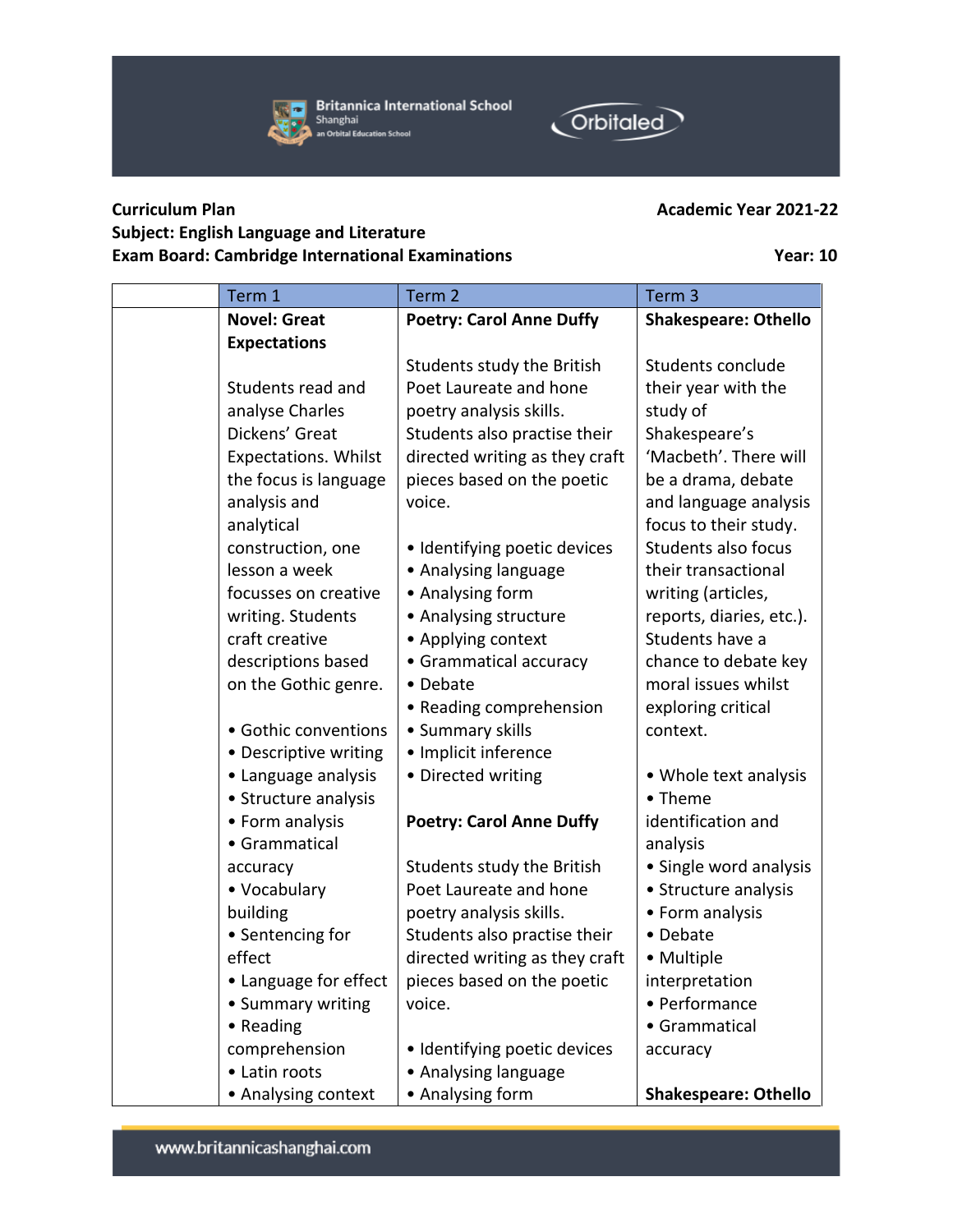



## **Curriculum Plan Academic Year 2021-22 Subject: English Language and Literature Exam Board: Cambridge International Examinations Year: 10**

| Term 1                      | Term 2                          | Term <sub>3</sub>           |
|-----------------------------|---------------------------------|-----------------------------|
| <b>Novel: Great</b>         | <b>Poetry: Carol Anne Duffy</b> | <b>Shakespeare: Othello</b> |
| <b>Expectations</b>         |                                 |                             |
|                             | Students study the British      | Students conclude           |
| Students read and           | Poet Laureate and hone          | their year with the         |
| analyse Charles             | poetry analysis skills.         | study of                    |
| Dickens' Great              | Students also practise their    | Shakespeare's               |
| <b>Expectations. Whilst</b> | directed writing as they craft  | 'Macbeth'. There will       |
| the focus is language       | pieces based on the poetic      | be a drama, debate          |
| analysis and                | voice.                          | and language analysis       |
| analytical                  |                                 | focus to their study.       |
| construction, one           | · Identifying poetic devices    | Students also focus         |
| lesson a week               | • Analysing language            | their transactional         |
| focusses on creative        | • Analysing form                | writing (articles,          |
| writing. Students           | • Analysing structure           | reports, diaries, etc.).    |
| craft creative              | • Applying context              | Students have a             |
| descriptions based          | • Grammatical accuracy          | chance to debate key        |
| on the Gothic genre.        | • Debate                        | moral issues whilst         |
|                             | • Reading comprehension         | exploring critical          |
| • Gothic conventions        | • Summary skills                | context.                    |
| • Descriptive writing       | • Implicit inference            |                             |
| • Language analysis         | • Directed writing              | • Whole text analysis       |
| • Structure analysis        |                                 | • Theme                     |
| • Form analysis             | <b>Poetry: Carol Anne Duffy</b> | identification and          |
| • Grammatical               |                                 | analysis                    |
| accuracy                    | Students study the British      | · Single word analysis      |
| • Vocabulary                | Poet Laureate and hone          | • Structure analysis        |
| building                    | poetry analysis skills.         | • Form analysis             |
| • Sentencing for            | Students also practise their    | • Debate                    |
| effect                      | directed writing as they craft  | • Multiple                  |
| • Language for effect       | pieces based on the poetic      | interpretation              |
| • Summary writing           | voice.                          | • Performance               |
| • Reading                   |                                 | • Grammatical               |
| comprehension               | · Identifying poetic devices    | accuracy                    |
| • Latin roots               | • Analysing language            |                             |
| • Analysing context         | • Analysing form                | <b>Shakespeare: Othello</b> |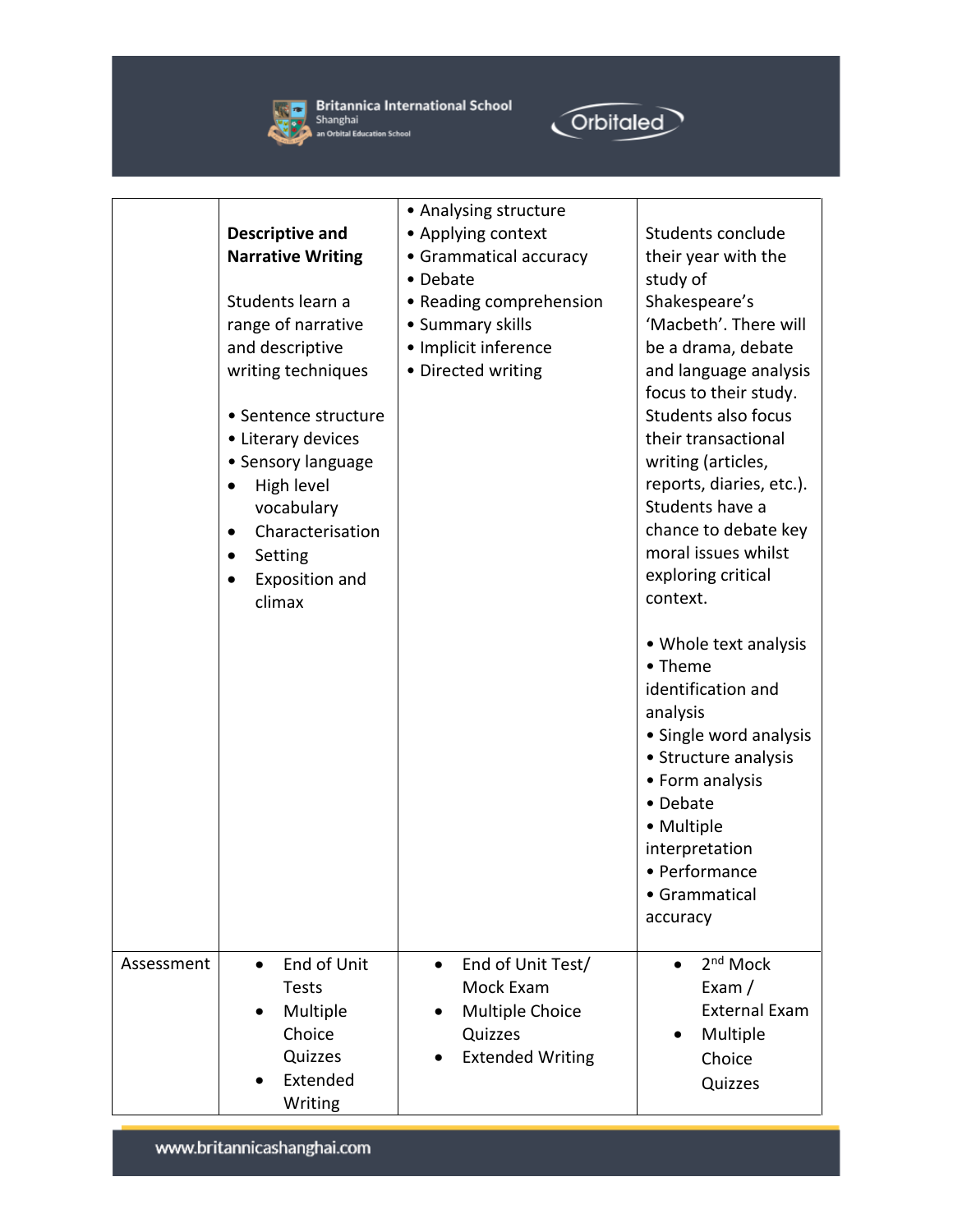

**Strict Britannica International School**<br>Shanghai<br>**All An Orbital Education School** 



|            | <b>Descriptive and</b><br><b>Narrative Writing</b><br>Students learn a<br>range of narrative<br>and descriptive<br>writing techniques<br>• Sentence structure<br>• Literary devices<br>• Sensory language<br>High level<br>$\bullet$<br>vocabulary<br>Characterisation<br>$\bullet$<br>Setting<br>٠<br>Exposition and<br>climax | • Analysing structure<br>• Applying context<br>• Grammatical accuracy<br>• Debate<br>• Reading comprehension<br>• Summary skills<br>· Implicit inference<br>• Directed writing | Students conclude<br>their year with the<br>study of<br>Shakespeare's<br>'Macbeth'. There will<br>be a drama, debate<br>and language analysis<br>focus to their study.<br>Students also focus<br>their transactional<br>writing (articles,<br>reports, diaries, etc.).<br>Students have a<br>chance to debate key<br>moral issues whilst<br>exploring critical<br>context. |
|------------|---------------------------------------------------------------------------------------------------------------------------------------------------------------------------------------------------------------------------------------------------------------------------------------------------------------------------------|--------------------------------------------------------------------------------------------------------------------------------------------------------------------------------|----------------------------------------------------------------------------------------------------------------------------------------------------------------------------------------------------------------------------------------------------------------------------------------------------------------------------------------------------------------------------|
| Assessment | End of Unit<br>$\bullet$<br><b>Tests</b><br>Multiple<br>Choice<br>Quizzes                                                                                                                                                                                                                                                       | End of Unit Test/<br>$\bullet$<br>Mock Exam<br><b>Multiple Choice</b><br>Quizzes<br><b>Extended Writing</b>                                                                    | • Whole text analysis<br>• Theme<br>identification and<br>analysis<br>• Single word analysis<br>• Structure analysis<br>• Form analysis<br>• Debate<br>• Multiple<br>interpretation<br>• Performance<br>• Grammatical<br>accuracy<br>2 <sup>nd</sup> Mock<br>$\bullet$<br>Exam $/$<br><b>External Exam</b><br>Multiple<br>Choice                                           |
|            | Extended<br>Writing                                                                                                                                                                                                                                                                                                             |                                                                                                                                                                                | Quizzes                                                                                                                                                                                                                                                                                                                                                                    |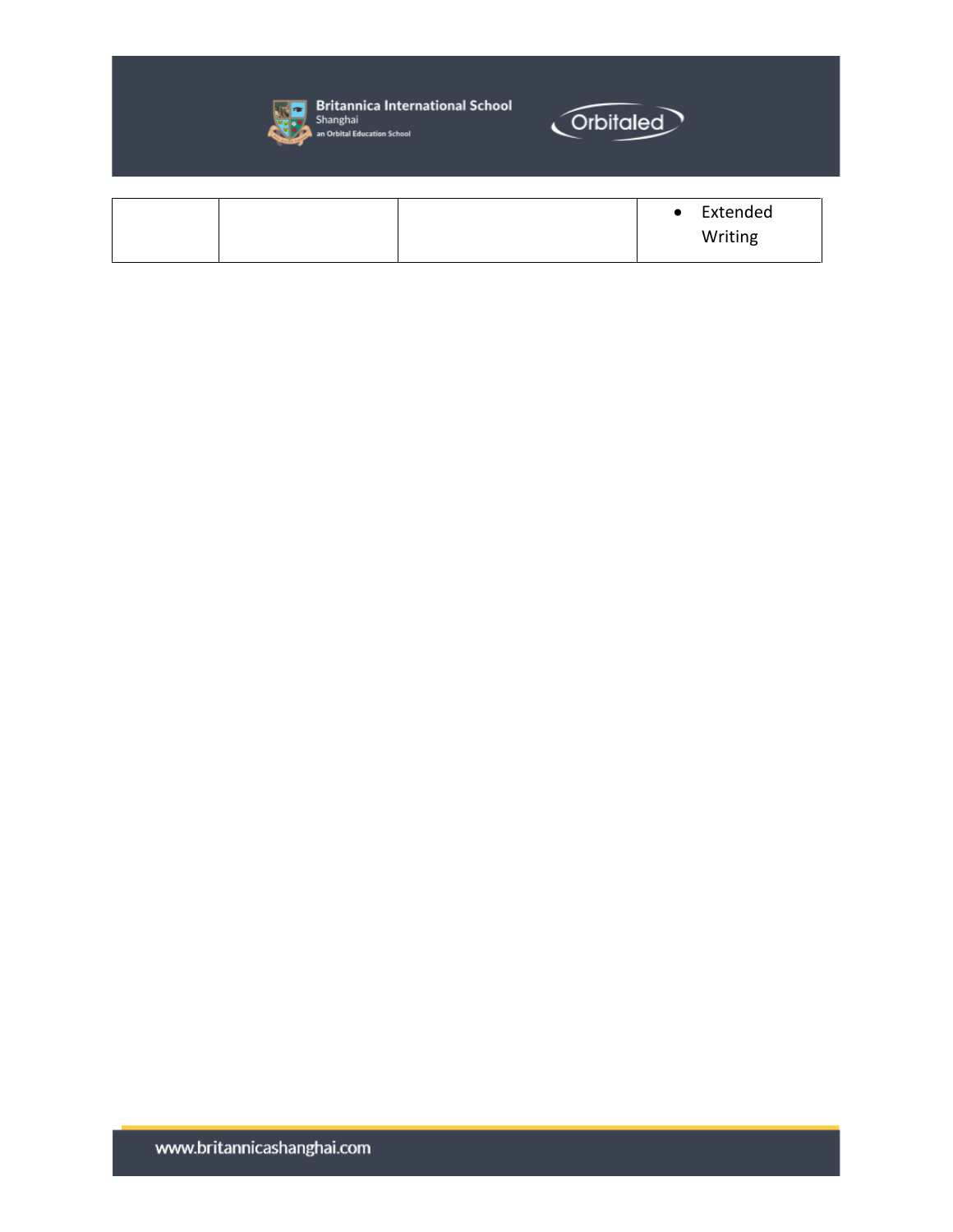

**Solution Spitzer Device and School**<br>Shanghai<br>an Orbital Education School



|  | $\bullet$ | Extended |
|--|-----------|----------|
|  |           | Writing  |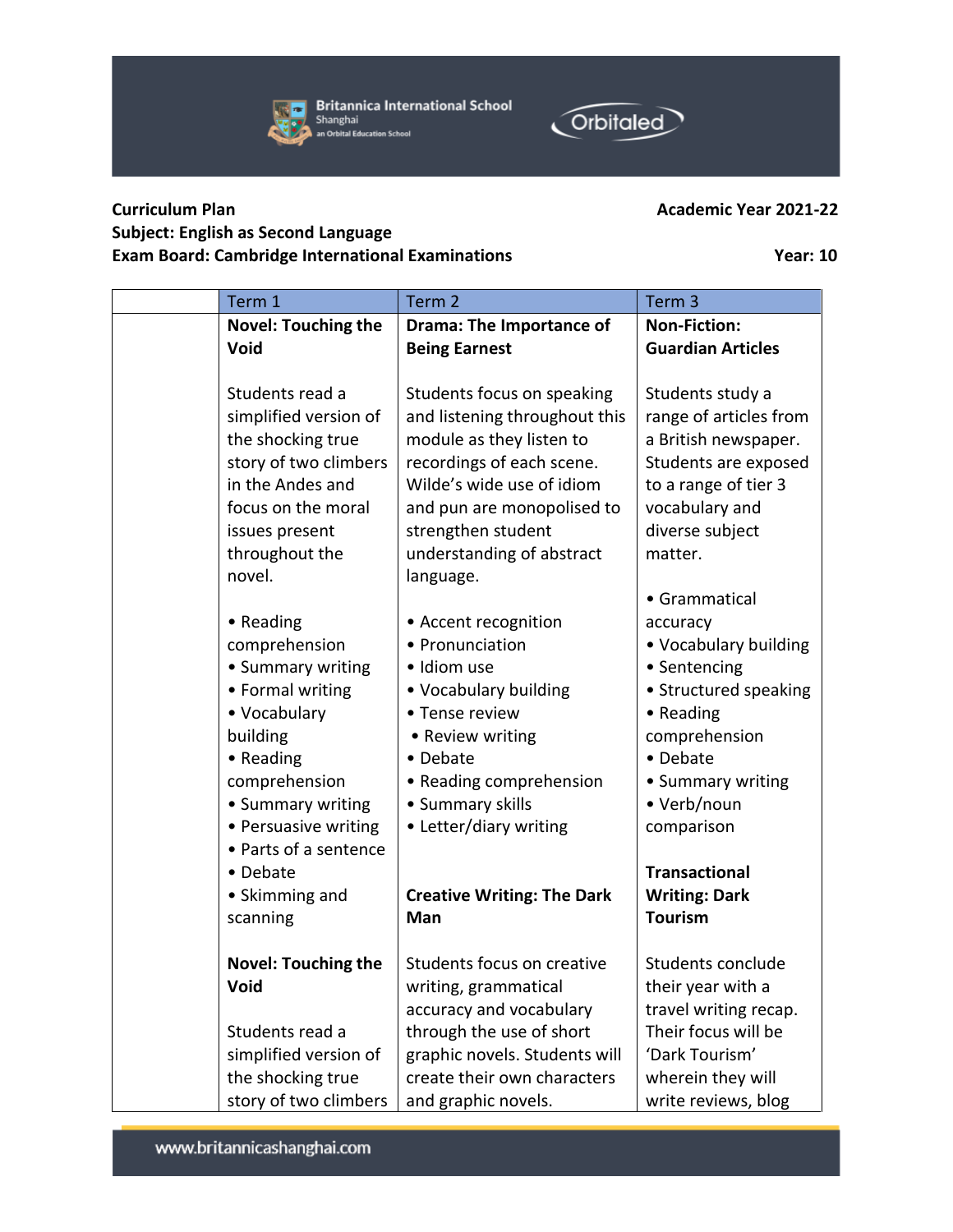

**Britannica International School** Shanghai an Orbital Education School



## **Curriculum Plan Academic Year 2021-22 Subject: English as Second Language Exam Board: Cambridge International Examinations Year: 10**

| Term 1                     | Term 2                            | Term <sub>3</sub>        |
|----------------------------|-----------------------------------|--------------------------|
| <b>Novel: Touching the</b> | <b>Drama: The Importance of</b>   | <b>Non-Fiction:</b>      |
| Void                       | <b>Being Earnest</b>              | <b>Guardian Articles</b> |
|                            |                                   |                          |
| Students read a            | Students focus on speaking        | Students study a         |
| simplified version of      | and listening throughout this     | range of articles from   |
| the shocking true          | module as they listen to          | a British newspaper.     |
| story of two climbers      | recordings of each scene.         | Students are exposed     |
| in the Andes and           | Wilde's wide use of idiom         | to a range of tier 3     |
| focus on the moral         | and pun are monopolised to        | vocabulary and           |
| issues present             | strengthen student                | diverse subject          |
| throughout the             | understanding of abstract         | matter.                  |
| novel.                     | language.                         |                          |
|                            |                                   | • Grammatical            |
| • Reading                  | • Accent recognition              | accuracy                 |
| comprehension              | • Pronunciation                   | • Vocabulary building    |
| • Summary writing          | · Idiom use                       | • Sentencing             |
| • Formal writing           | • Vocabulary building             | • Structured speaking    |
| • Vocabulary               | • Tense review                    | • Reading                |
| building                   | • Review writing                  | comprehension            |
| • Reading                  | • Debate                          | • Debate                 |
| comprehension              | • Reading comprehension           | • Summary writing        |
| • Summary writing          | • Summary skills                  | • Verb/noun              |
| • Persuasive writing       | • Letter/diary writing            | comparison               |
| • Parts of a sentence      |                                   |                          |
| • Debate                   |                                   | <b>Transactional</b>     |
| • Skimming and             | <b>Creative Writing: The Dark</b> | <b>Writing: Dark</b>     |
| scanning                   | Man                               | <b>Tourism</b>           |
|                            |                                   |                          |
| <b>Novel: Touching the</b> | Students focus on creative        | Students conclude        |
| Void                       | writing, grammatical              | their year with a        |
|                            | accuracy and vocabulary           | travel writing recap.    |
| Students read a            | through the use of short          | Their focus will be      |
| simplified version of      | graphic novels. Students will     | 'Dark Tourism'           |
| the shocking true          | create their own characters       | wherein they will        |
| story of two climbers      | and graphic novels.               | write reviews, blog      |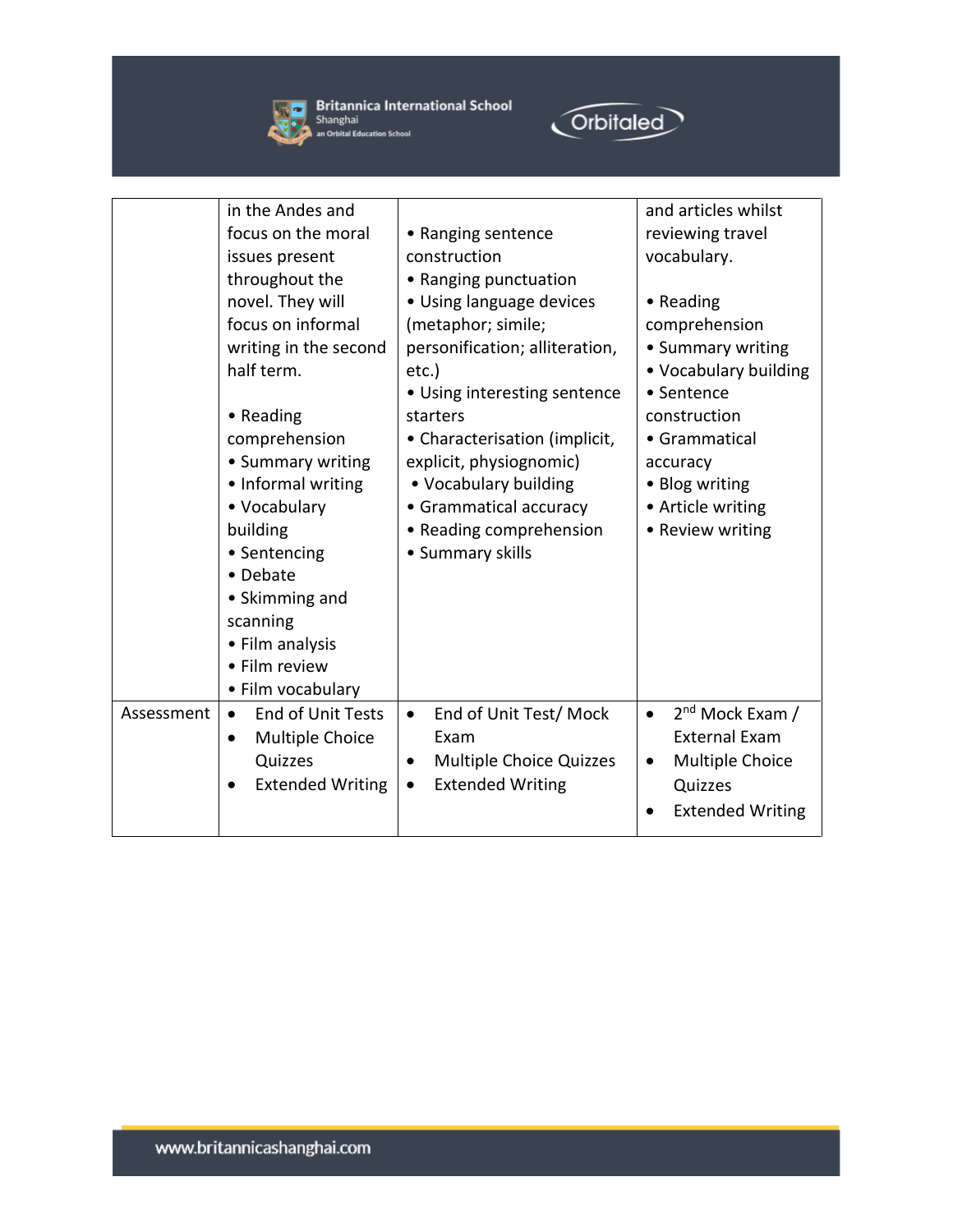



|            | in the Andes and                      |                                     | and articles whilst                      |
|------------|---------------------------------------|-------------------------------------|------------------------------------------|
|            | focus on the moral                    | • Ranging sentence                  | reviewing travel                         |
|            | issues present                        | construction                        | vocabulary.                              |
|            | throughout the                        | • Ranging punctuation               |                                          |
|            | novel. They will                      | · Using language devices            | • Reading                                |
|            | focus on informal                     | (metaphor; simile;                  | comprehension                            |
|            | writing in the second                 | personification; alliteration,      | • Summary writing                        |
|            | half term.                            | etc.)                               | • Vocabulary building                    |
|            |                                       | • Using interesting sentence        | • Sentence                               |
|            | • Reading                             | starters                            | construction                             |
|            | comprehension                         | • Characterisation (implicit,       | • Grammatical                            |
|            | • Summary writing                     | explicit, physiognomic)             | accuracy                                 |
|            | • Informal writing                    | • Vocabulary building               | • Blog writing                           |
|            | • Vocabulary                          | • Grammatical accuracy              | • Article writing                        |
|            | building                              | • Reading comprehension             | • Review writing                         |
|            | • Sentencing                          | • Summary skills                    |                                          |
|            | • Debate                              |                                     |                                          |
|            | • Skimming and                        |                                     |                                          |
|            | scanning                              |                                     |                                          |
|            | • Film analysis                       |                                     |                                          |
|            | • Film review                         |                                     |                                          |
|            | • Film vocabulary                     |                                     |                                          |
| Assessment | <b>End of Unit Tests</b><br>$\bullet$ | End of Unit Test/ Mock<br>$\bullet$ | 2 <sup>nd</sup> Mock Exam /<br>$\bullet$ |
|            | Multiple Choice<br>$\bullet$          | Exam                                | <b>External Exam</b>                     |
|            | Quizzes                               | <b>Multiple Choice Quizzes</b>      | Multiple Choice<br>$\bullet$             |
|            | <b>Extended Writing</b>               | <b>Extended Writing</b>             | Quizzes                                  |
|            |                                       |                                     | <b>Extended Writing</b>                  |
|            |                                       |                                     |                                          |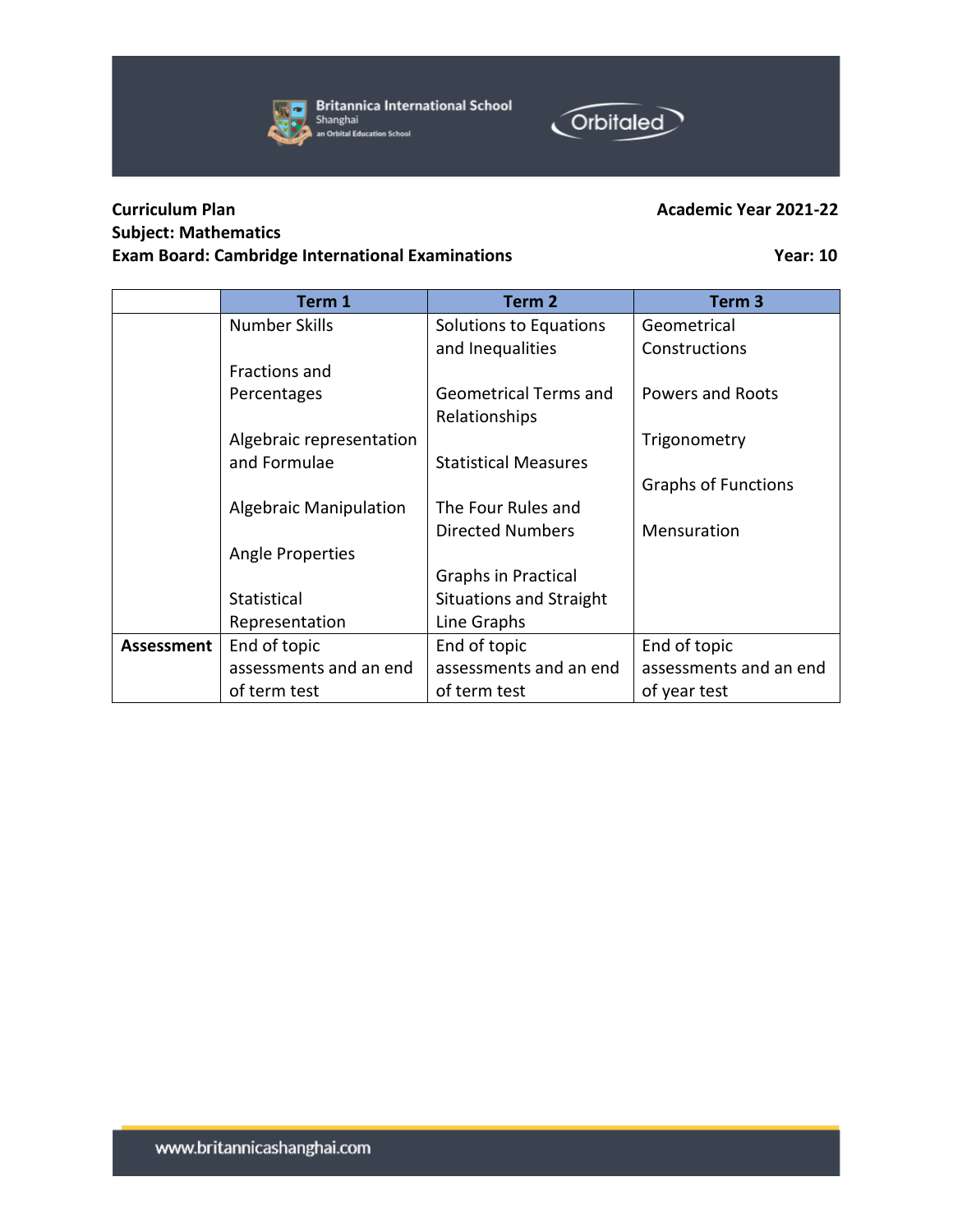



## **Subject: Mathematics Exam Board: Cambridge International Examinations Year: 10**

**Orbitaled** 

|            | Term 1                        | Term <sub>2</sub>              | Term <sub>3</sub>          |
|------------|-------------------------------|--------------------------------|----------------------------|
|            | <b>Number Skills</b>          | Solutions to Equations         | Geometrical                |
|            |                               | and Inequalities               | Constructions              |
|            | Fractions and                 |                                |                            |
|            | Percentages                   | <b>Geometrical Terms and</b>   | <b>Powers and Roots</b>    |
|            |                               | Relationships                  |                            |
|            | Algebraic representation      |                                | Trigonometry               |
|            | and Formulae                  | <b>Statistical Measures</b>    |                            |
|            |                               |                                | <b>Graphs of Functions</b> |
|            | <b>Algebraic Manipulation</b> | The Four Rules and             |                            |
|            |                               | <b>Directed Numbers</b>        | Mensuration                |
|            | Angle Properties              |                                |                            |
|            |                               | Graphs in Practical            |                            |
|            | Statistical                   | <b>Situations and Straight</b> |                            |
|            | Representation                | Line Graphs                    |                            |
| Assessment | End of topic                  | End of topic                   | End of topic               |
|            | assessments and an end        | assessments and an end         | assessments and an end     |
|            | of term test                  | of term test                   | of year test               |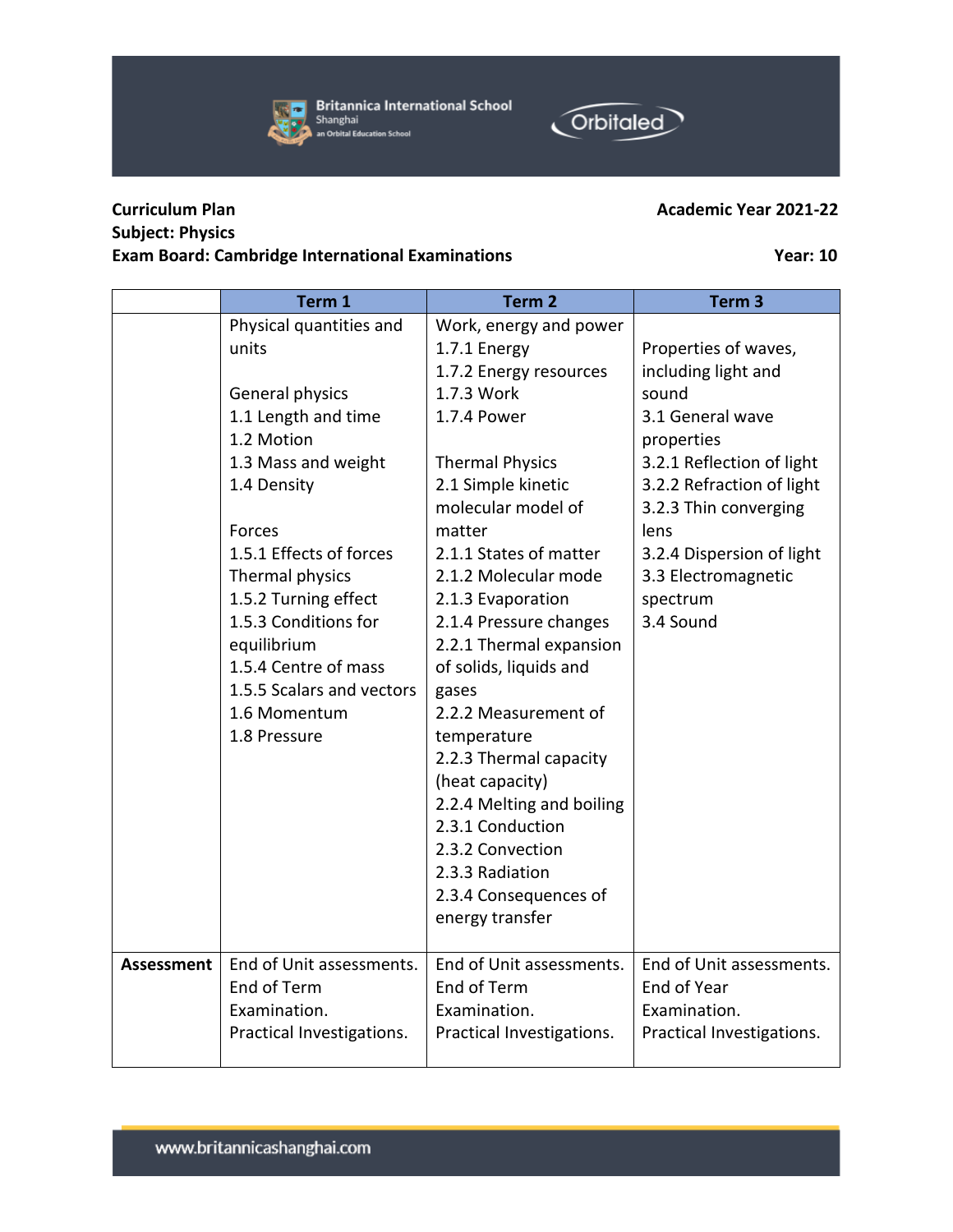Practical Investigations.

## **Curriculum Plan Academic Year 2021-22 Subject: Physics**

# **Exam Board: Cambridge International Examinations Year: 10**

|                   | Term 1                    | Term <sub>2</sub>         | Term <sub>3</sub>         |
|-------------------|---------------------------|---------------------------|---------------------------|
|                   | Physical quantities and   | Work, energy and power    |                           |
|                   | units                     | 1.7.1 Energy              | Properties of waves,      |
|                   |                           | 1.7.2 Energy resources    | including light and       |
|                   | General physics           | 1.7.3 Work                | sound                     |
|                   | 1.1 Length and time       | 1.7.4 Power               | 3.1 General wave          |
|                   | 1.2 Motion                |                           | properties                |
|                   | 1.3 Mass and weight       | <b>Thermal Physics</b>    | 3.2.1 Reflection of light |
|                   | 1.4 Density               | 2.1 Simple kinetic        | 3.2.2 Refraction of light |
|                   |                           | molecular model of        | 3.2.3 Thin converging     |
|                   | Forces                    | matter                    | lens                      |
|                   | 1.5.1 Effects of forces   | 2.1.1 States of matter    | 3.2.4 Dispersion of light |
|                   | Thermal physics           | 2.1.2 Molecular mode      | 3.3 Electromagnetic       |
|                   | 1.5.2 Turning effect      | 2.1.3 Evaporation         | spectrum                  |
|                   | 1.5.3 Conditions for      | 2.1.4 Pressure changes    | 3.4 Sound                 |
|                   | equilibrium               | 2.2.1 Thermal expansion   |                           |
|                   | 1.5.4 Centre of mass      | of solids, liquids and    |                           |
|                   | 1.5.5 Scalars and vectors | gases                     |                           |
|                   | 1.6 Momentum              | 2.2.2 Measurement of      |                           |
|                   | 1.8 Pressure              | temperature               |                           |
|                   |                           | 2.2.3 Thermal capacity    |                           |
|                   |                           | (heat capacity)           |                           |
|                   |                           | 2.2.4 Melting and boiling |                           |
|                   |                           | 2.3.1 Conduction          |                           |
|                   |                           | 2.3.2 Convection          |                           |
|                   |                           | 2.3.3 Radiation           |                           |
|                   |                           | 2.3.4 Consequences of     |                           |
|                   |                           | energy transfer           |                           |
|                   |                           |                           |                           |
| <b>Assessment</b> | End of Unit assessments.  | End of Unit assessments.  | End of Unit assessments.  |
|                   | End of Term               | End of Term               | End of Year               |
|                   | Examination.              | Examination.              | Examination.              |

Practical Investigations.

Practical Investigations.



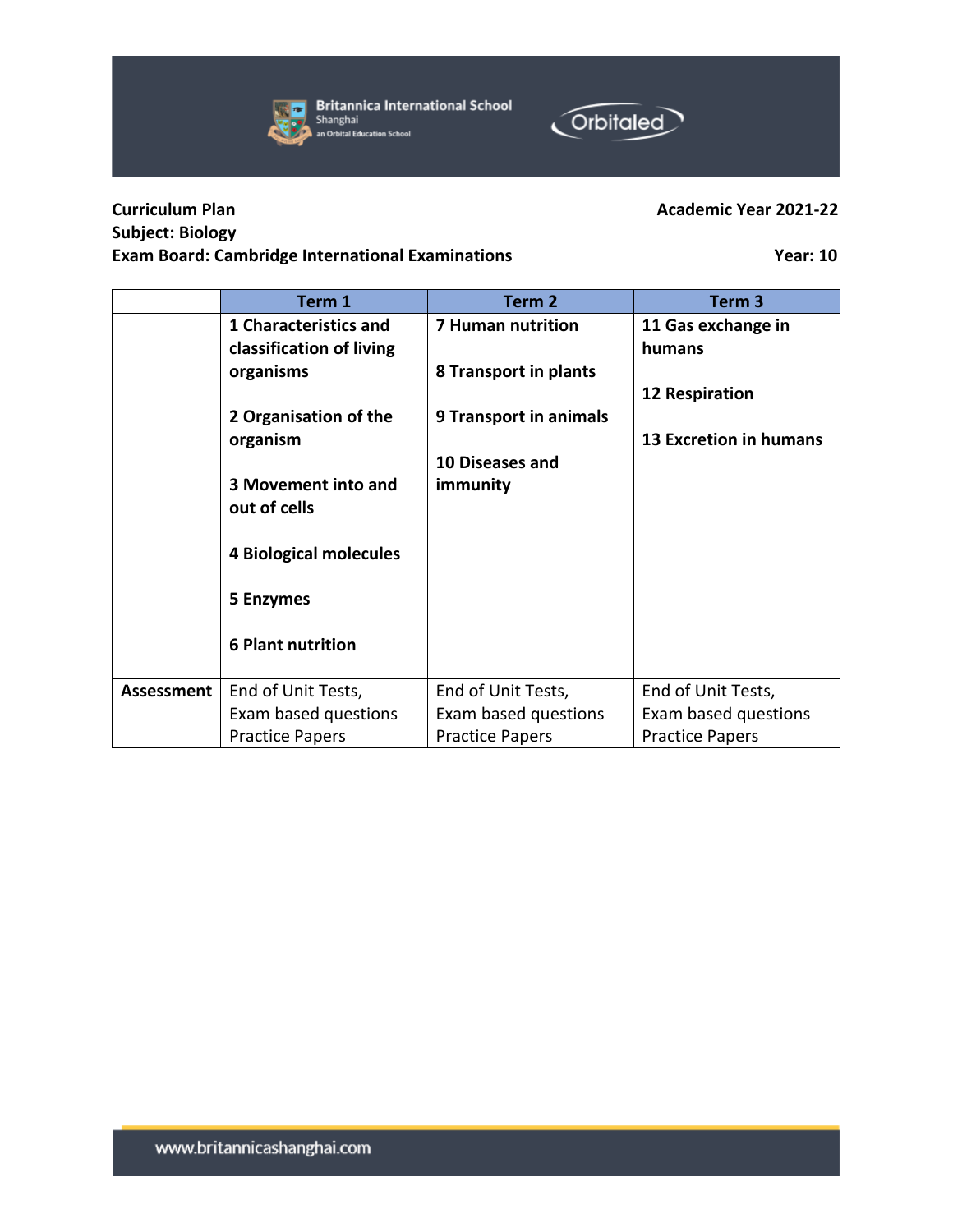Exam based questions

Practice Papers

## **Curriculum Plan Academic Year 2021-22 Subject: Biology Exam Board: Cambridge International Examinations Year: 10**

### **Term 1 Term 2 Term 3 1 Characteristics and classification of living organisms 2 Organisation of the organism 3 Movement into and out of cells 4 Biological molecules 5 Enzymes 6 Plant nutrition 7 Human nutrition 8 Transport in plants 9 Transport in animals 10 Diseases and immunity 11 Gas exchange in humans 12 Respiration 13 Excretion in humans** Assessment | End of Unit Tests, End of Unit Tests, End of Unit Tests,

Exam based questions

Practice Papers





Exam based questions

Practice Papers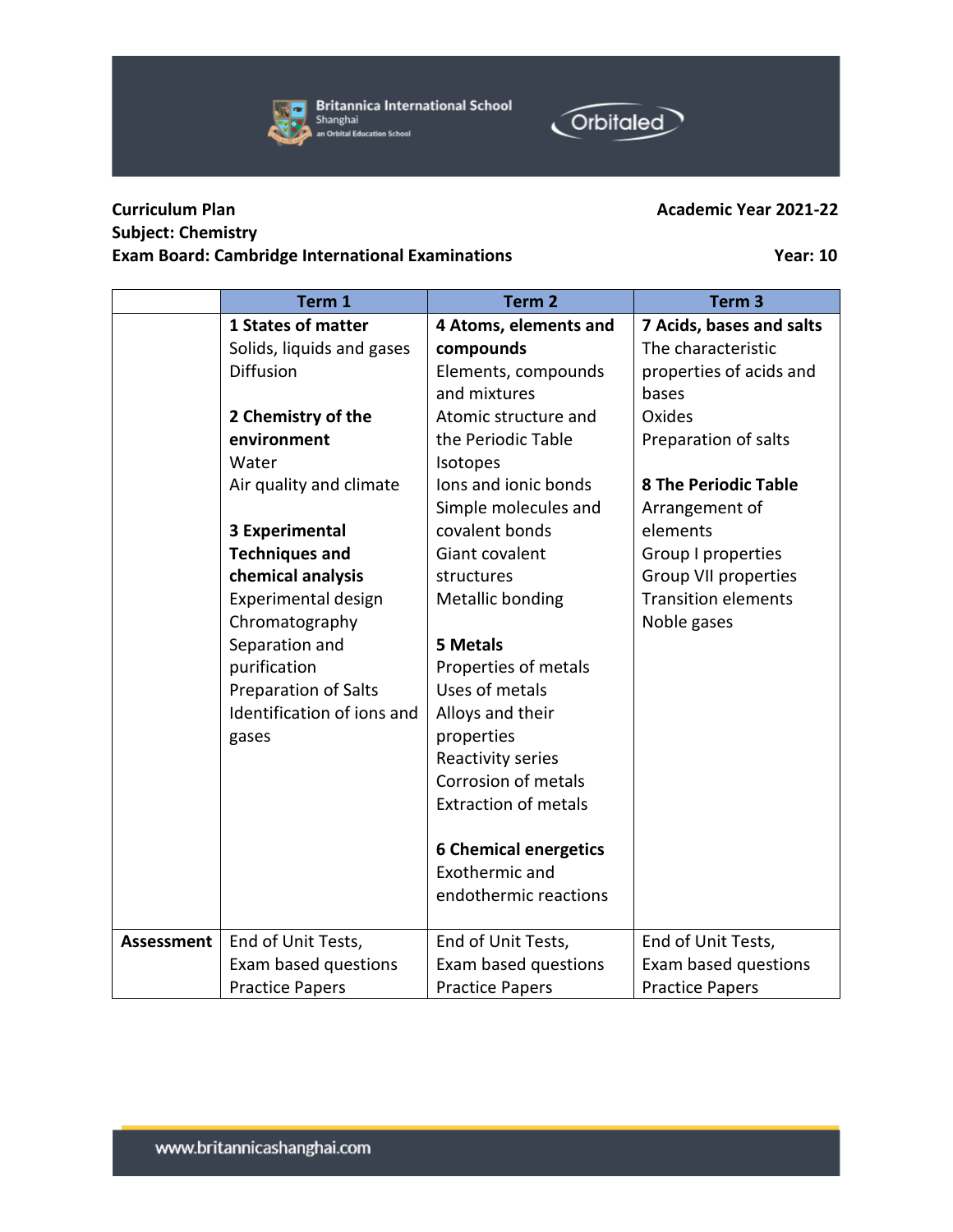

|                   | Term <sub>1</sub>          | Term <sub>2</sub>            | Term <sub>3</sub>           |
|-------------------|----------------------------|------------------------------|-----------------------------|
|                   | <b>1 States of matter</b>  | 4 Atoms, elements and        | 7 Acids, bases and salts    |
|                   | Solids, liquids and gases  | compounds                    | The characteristic          |
|                   | Diffusion                  | Elements, compounds          | properties of acids and     |
|                   |                            | and mixtures                 | bases                       |
|                   | 2 Chemistry of the         | Atomic structure and         | Oxides                      |
|                   | environment                | the Periodic Table           | Preparation of salts        |
|                   | Water                      | Isotopes                     |                             |
|                   | Air quality and climate    | lons and ionic bonds         | <b>8 The Periodic Table</b> |
|                   |                            | Simple molecules and         | Arrangement of              |
|                   | <b>3 Experimental</b>      | covalent bonds               | elements                    |
|                   | <b>Techniques and</b>      | Giant covalent               | Group I properties          |
|                   | chemical analysis          | structures                   | Group VII properties        |
|                   | Experimental design        | Metallic bonding             | <b>Transition elements</b>  |
|                   | Chromatography             |                              | Noble gases                 |
|                   | Separation and             | <b>5 Metals</b>              |                             |
|                   | purification               | Properties of metals         |                             |
|                   | Preparation of Salts       | Uses of metals               |                             |
|                   | Identification of ions and | Alloys and their             |                             |
|                   | gases                      | properties                   |                             |
|                   |                            | Reactivity series            |                             |
|                   |                            | Corrosion of metals          |                             |
|                   |                            | <b>Extraction of metals</b>  |                             |
|                   |                            | <b>6 Chemical energetics</b> |                             |
|                   |                            | Exothermic and               |                             |
|                   |                            | endothermic reactions        |                             |
| <b>Assessment</b> | End of Unit Tests,         | End of Unit Tests,           | End of Unit Tests,          |
|                   | Exam based questions       | Exam based questions         | Exam based questions        |
|                   | <b>Practice Papers</b>     | <b>Practice Papers</b>       | <b>Practice Papers</b>      |

## **Subject: Chemistry Exam Board: Cambridge International Examinations Year: 10**

 $\overline{ }$ 

# **Curriculum Plan Academic Year 2021-22**

# www.britannicashanghai.com



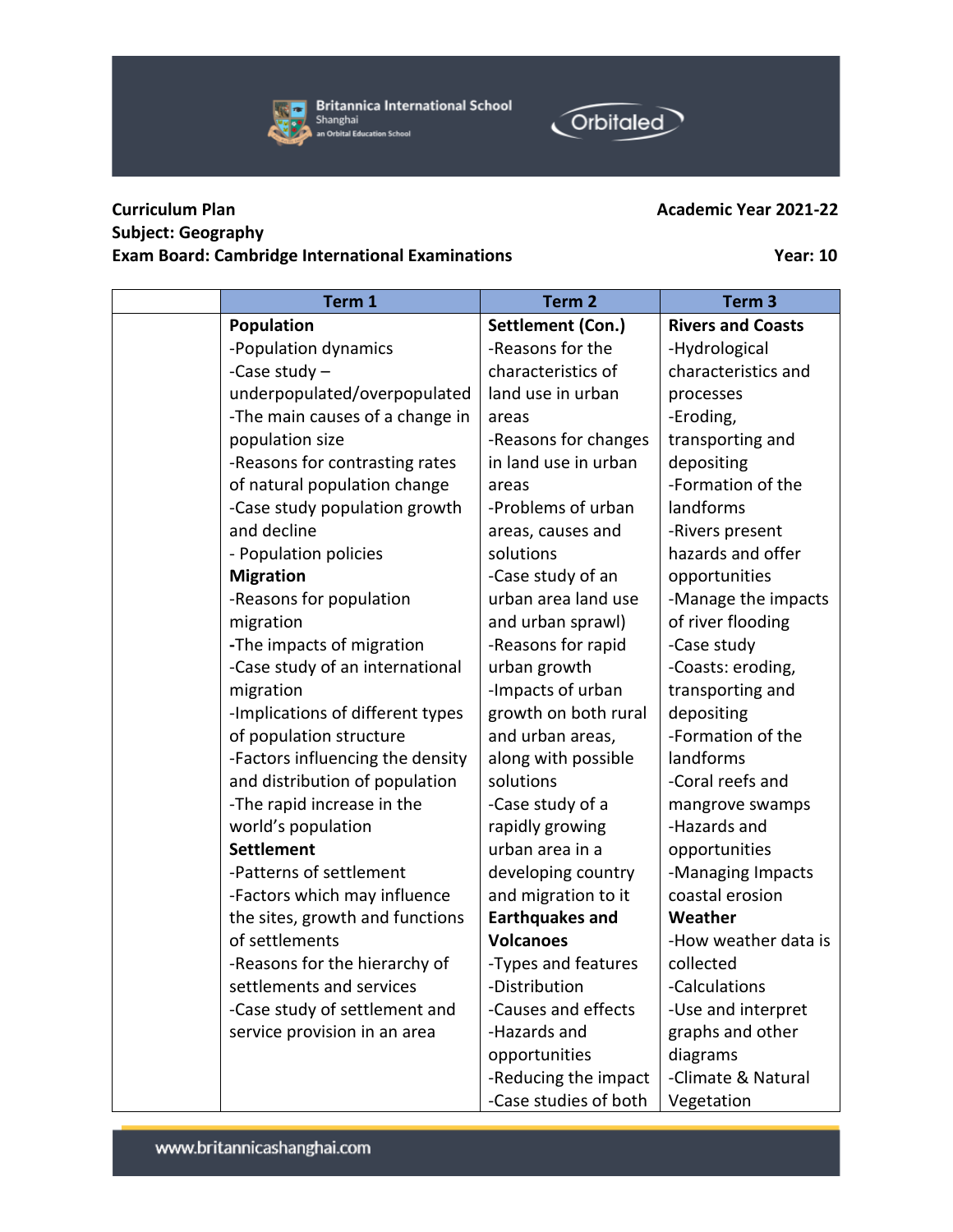

**Britannica International School** Shanghai an Orbital Education School



## **Curriculum Plan Academic Year 2021-22 Subject: Geography Exam Board: Cambridge International Examinations Year: 10**

| Term 1                           | Term <sub>2</sub>      | Term <sub>3</sub>        |
|----------------------------------|------------------------|--------------------------|
| <b>Population</b>                | Settlement (Con.)      | <b>Rivers and Coasts</b> |
| -Population dynamics             | -Reasons for the       | -Hydrological            |
| -Case study $-$                  | characteristics of     | characteristics and      |
| underpopulated/overpopulated     | land use in urban      | processes                |
| -The main causes of a change in  | areas                  | -Eroding,                |
| population size                  | -Reasons for changes   | transporting and         |
| -Reasons for contrasting rates   | in land use in urban   | depositing               |
| of natural population change     | areas                  | -Formation of the        |
| -Case study population growth    | -Problems of urban     | landforms                |
| and decline                      | areas, causes and      | -Rivers present          |
| - Population policies            | solutions              | hazards and offer        |
| <b>Migration</b>                 | -Case study of an      | opportunities            |
| -Reasons for population          | urban area land use    | -Manage the impacts      |
| migration                        | and urban sprawl)      | of river flooding        |
| -The impacts of migration        | -Reasons for rapid     | -Case study              |
| -Case study of an international  | urban growth           | -Coasts: eroding,        |
| migration                        | -Impacts of urban      | transporting and         |
| -Implications of different types | growth on both rural   | depositing               |
| of population structure          | and urban areas,       | -Formation of the        |
| -Factors influencing the density | along with possible    | landforms                |
| and distribution of population   | solutions              | -Coral reefs and         |
| -The rapid increase in the       | -Case study of a       | mangrove swamps          |
| world's population               | rapidly growing        | -Hazards and             |
| <b>Settlement</b>                | urban area in a        | opportunities            |
| -Patterns of settlement          | developing country     | -Managing Impacts        |
| -Factors which may influence     | and migration to it    | coastal erosion          |
| the sites, growth and functions  | <b>Earthquakes and</b> | Weather                  |
| of settlements                   | <b>Volcanoes</b>       | -How weather data is     |
| -Reasons for the hierarchy of    | -Types and features    | collected                |
| settlements and services         | -Distribution          | -Calculations            |
| -Case study of settlement and    | -Causes and effects    | -Use and interpret       |
| service provision in an area     | -Hazards and           | graphs and other         |
|                                  | opportunities          | diagrams                 |
|                                  | -Reducing the impact   | -Climate & Natural       |
|                                  | -Case studies of both  | Vegetation               |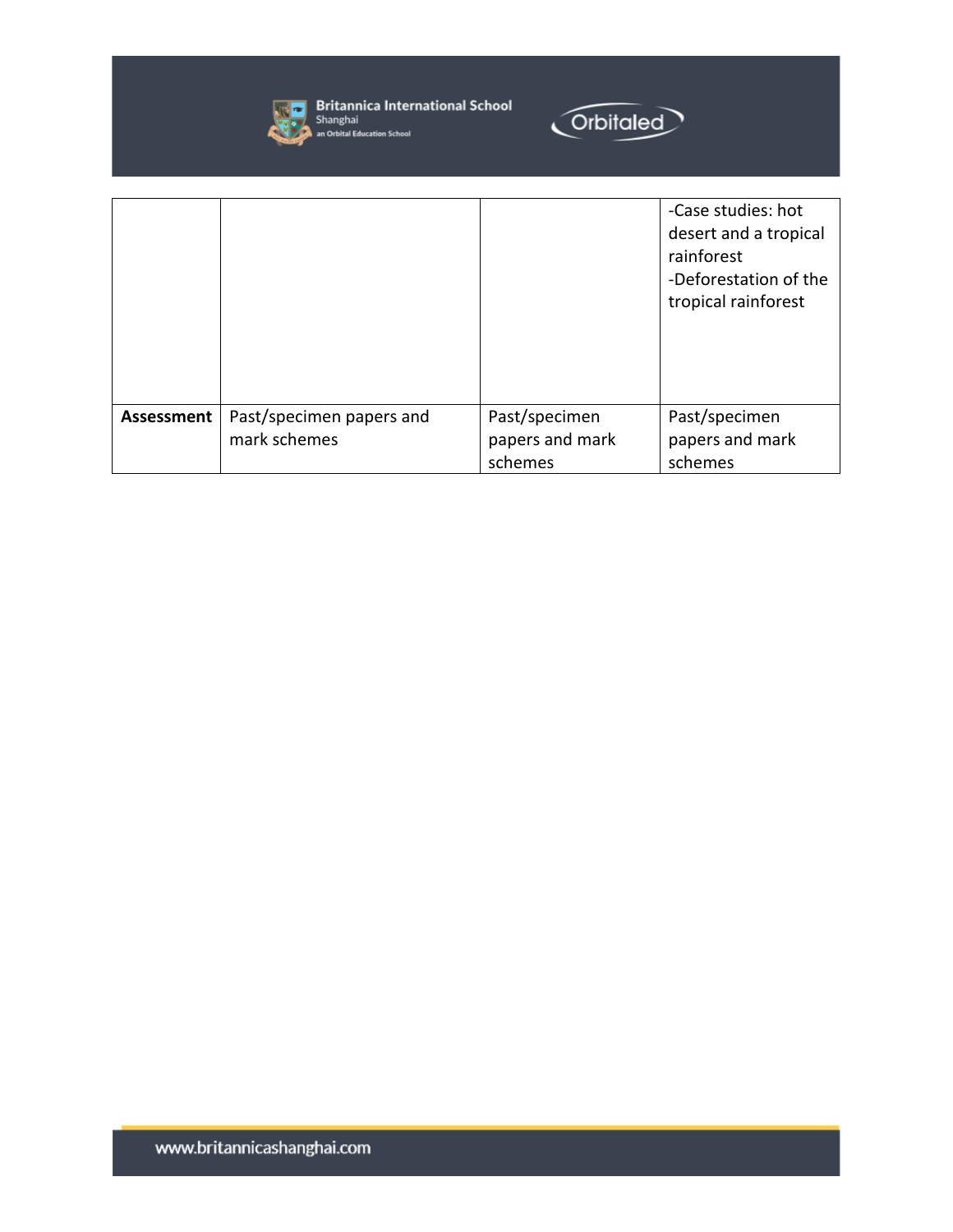

**Start Britannica International School**<br>Shanghai<br>**All An Orbital Education School** 



|            |                                          |                                             | -Case studies: hot<br>desert and a tropical<br>rainforest<br>-Deforestation of the<br>tropical rainforest |
|------------|------------------------------------------|---------------------------------------------|-----------------------------------------------------------------------------------------------------------|
| Assessment | Past/specimen papers and<br>mark schemes | Past/specimen<br>papers and mark<br>schemes | Past/specimen<br>papers and mark<br>schemes                                                               |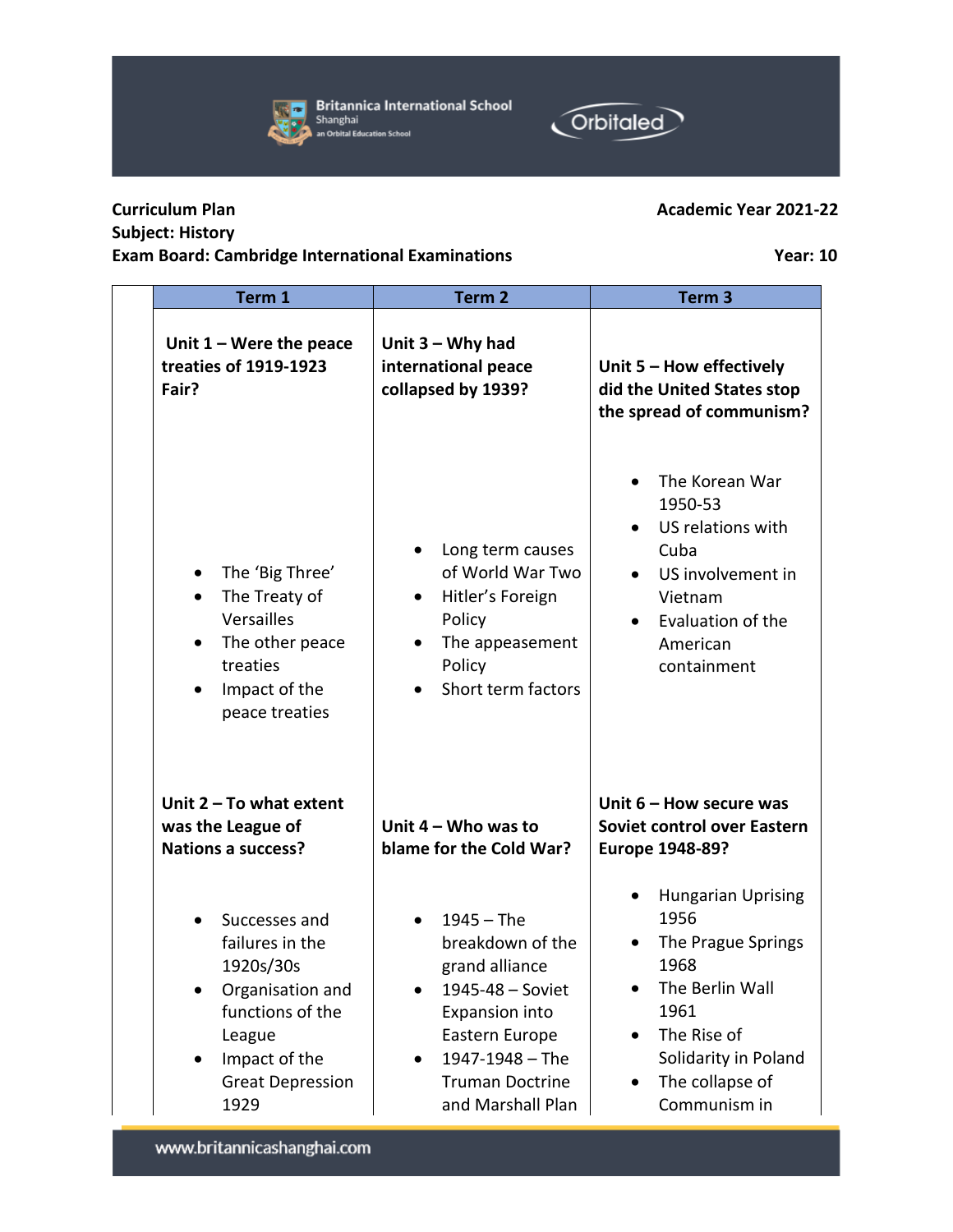## **Curriculum Plan Academic Year 2021-22 Subject: History**

## **Exam Board: Cambridge International Examinations Year: 10**

www.britannicashanghai.com

| Unit $1 -$ Were the peace<br>treaties of 1919-1923<br>Fair?                                                                                                      | Unit $3 - Why$ had<br>international peace<br>collapsed by 1939?                                                                                                              | Unit 5 - How effectively<br>did the United States stop<br>the spread of communism?                                                                                                                          |
|------------------------------------------------------------------------------------------------------------------------------------------------------------------|------------------------------------------------------------------------------------------------------------------------------------------------------------------------------|-------------------------------------------------------------------------------------------------------------------------------------------------------------------------------------------------------------|
| The 'Big Three'<br>$\bullet$<br>The Treaty of<br>$\bullet$<br>Versailles<br>The other peace<br>$\bullet$<br>treaties<br>Impact of the<br>peace treaties          | Long term causes<br>of World War Two<br>Hitler's Foreign<br>$\bullet$<br>Policy<br>The appeasement<br>$\bullet$<br>Policy<br>Short term factors                              | The Korean War<br>1950-53<br>US relations with<br>Cuba<br>US involvement in<br>$\bullet$<br>Vietnam<br>Evaluation of the<br>$\bullet$<br>American<br>containment                                            |
| Unit $2 - To$ what extent<br>was the League of<br><b>Nations a success?</b>                                                                                      | Unit $4 -$ Who was to<br>blame for the Cold War?                                                                                                                             | Unit $6 -$ How secure was<br>Soviet control over Eastern<br>Europe 1948-89?                                                                                                                                 |
| Successes and<br>failures in the<br>1920s/30s<br>Organisation and<br>functions of the<br>League<br>Impact of the<br>$\bullet$<br><b>Great Depression</b><br>1929 | $1945 - The$<br>breakdown of the<br>grand alliance<br>1945-48 - Soviet<br>Expansion into<br>Eastern Europe<br>1947-1948 - The<br><b>Truman Doctrine</b><br>and Marshall Plan | <b>Hungarian Uprising</b><br>1956<br>The Prague Springs<br>1968<br>The Berlin Wall<br>$\bullet$<br>1961<br>The Rise of<br>$\bullet$<br>Solidarity in Poland<br>The collapse of<br>$\bullet$<br>Communism in |

**Term 1 Term 2 Term 3**

**Orbitaled** 

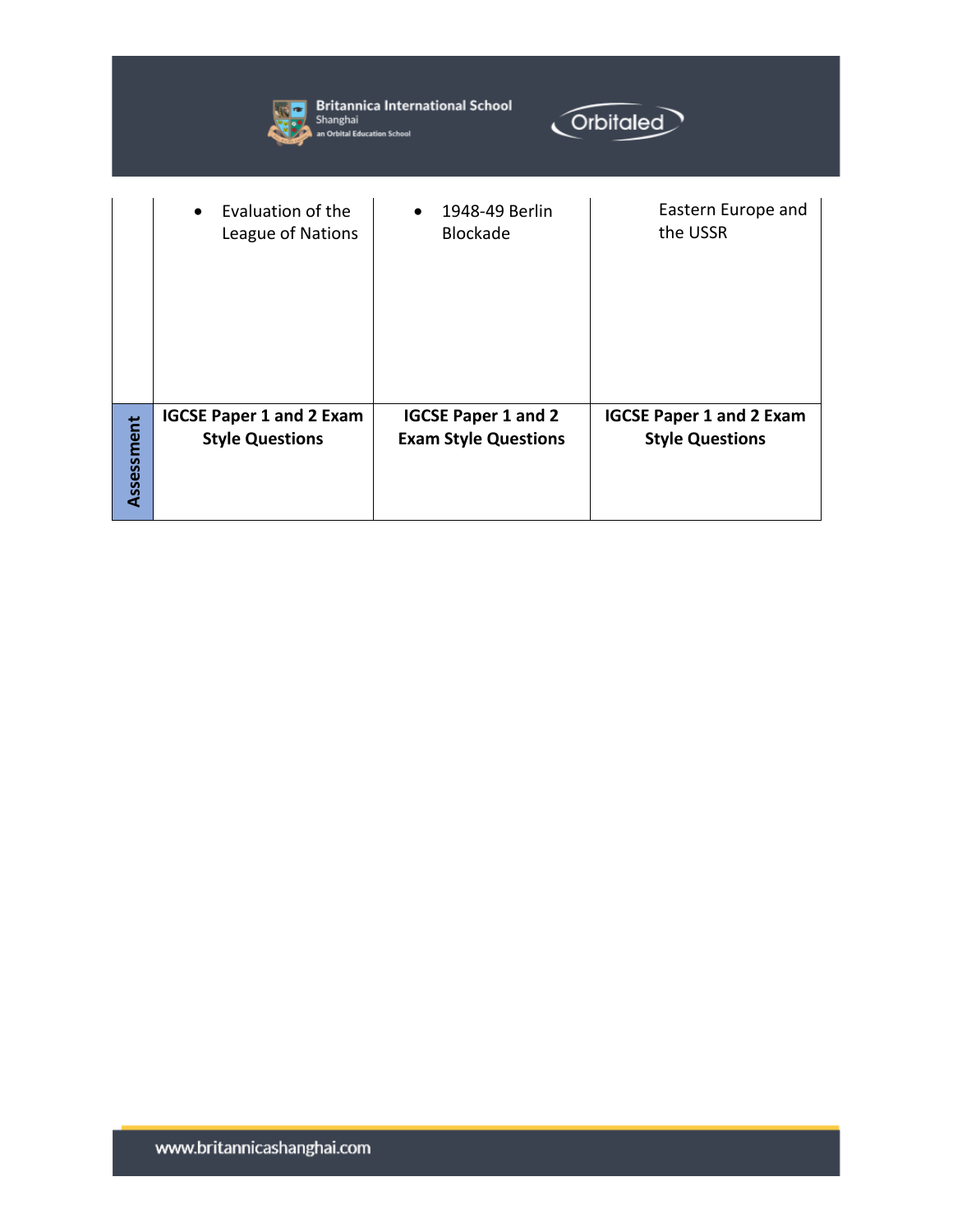|            | <b>Britannica International School</b><br>Orbitaled<br>Shanghai<br>an Orbital Education School |                                                           |                                                           |  |  |
|------------|------------------------------------------------------------------------------------------------|-----------------------------------------------------------|-----------------------------------------------------------|--|--|
|            | Evaluation of the<br>$\bullet$<br>League of Nations                                            | 1948-49 Berlin<br><b>Blockade</b>                         | Eastern Europe and<br>the USSR                            |  |  |
| Assessment | <b>IGCSE Paper 1 and 2 Exam</b><br><b>Style Questions</b>                                      | <b>IGCSE Paper 1 and 2</b><br><b>Exam Style Questions</b> | <b>IGCSE Paper 1 and 2 Exam</b><br><b>Style Questions</b> |  |  |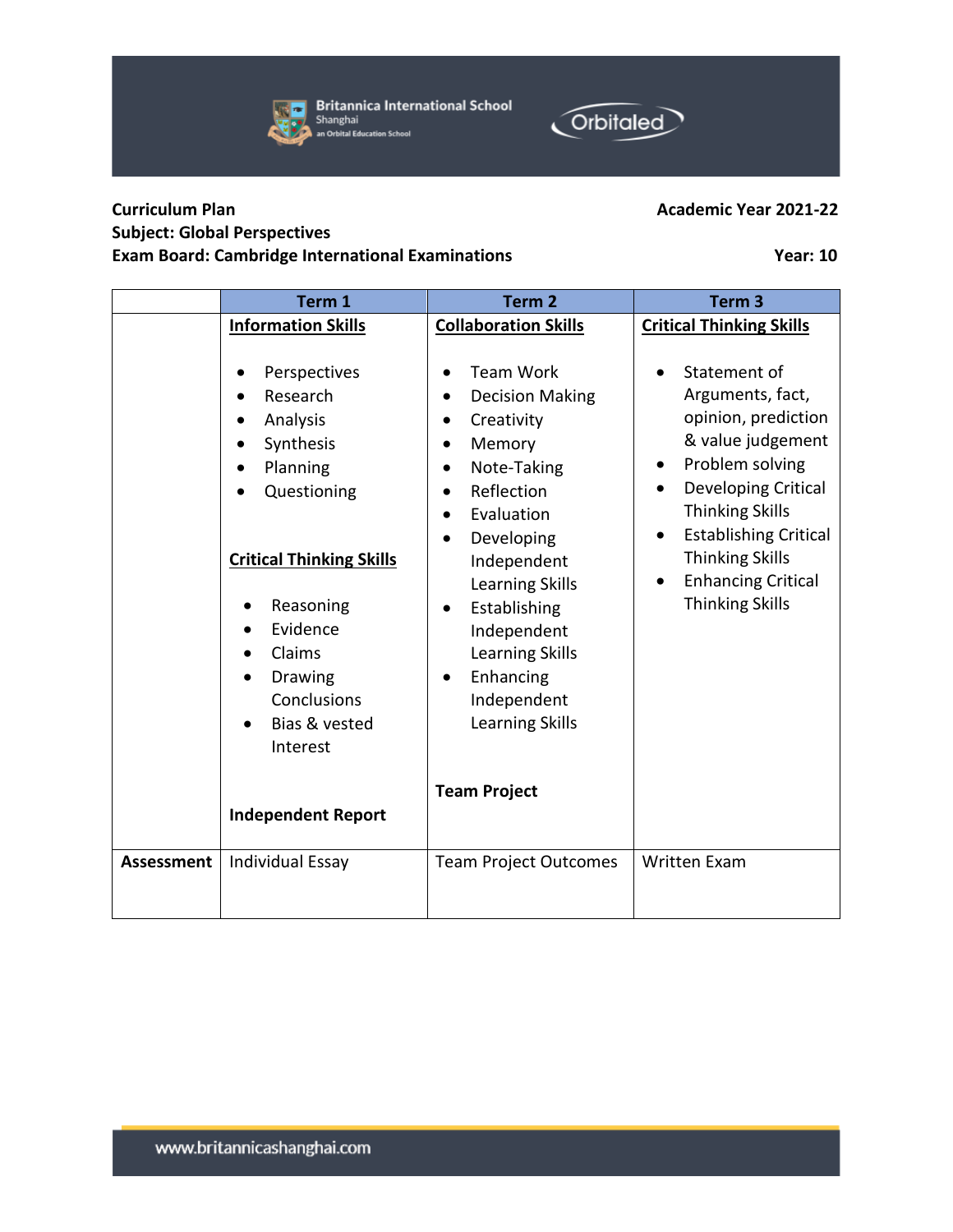**Curriculum Plan Academic Year 2021-22** 

## **Subject: Global Perspectives Exam Board: Cambridge International Examinations Year: 10**

|                   | <b>Information Skills</b>                                                                                                                                                                                 | <b>Collaboration Skills</b>                                                                                                                                                                                                                                                                                                                                                          | <b>Critical Thinking Skills</b>                                                                                                                                                                                                                                                                          |
|-------------------|-----------------------------------------------------------------------------------------------------------------------------------------------------------------------------------------------------------|--------------------------------------------------------------------------------------------------------------------------------------------------------------------------------------------------------------------------------------------------------------------------------------------------------------------------------------------------------------------------------------|----------------------------------------------------------------------------------------------------------------------------------------------------------------------------------------------------------------------------------------------------------------------------------------------------------|
|                   | Perspectives<br>Research<br>Analysis<br>Synthesis<br>Planning<br>Questioning<br><b>Critical Thinking Skills</b><br>Reasoning<br>Evidence<br>Claims<br>Drawing<br>Conclusions<br>Bias & vested<br>Interest | <b>Team Work</b><br><b>Decision Making</b><br>$\bullet$<br>Creativity<br>$\bullet$<br>Memory<br>Note-Taking<br>$\bullet$<br>Reflection<br>$\bullet$<br>Evaluation<br>$\bullet$<br>Developing<br>$\bullet$<br>Independent<br>Learning Skills<br>Establishing<br>$\bullet$<br>Independent<br><b>Learning Skills</b><br>Enhancing<br>$\bullet$<br>Independent<br><b>Learning Skills</b> | Statement of<br>Arguments, fact,<br>opinion, prediction<br>& value judgement<br>Problem solving<br>$\bullet$<br>Developing Critical<br>$\bullet$<br><b>Thinking Skills</b><br><b>Establishing Critical</b><br>$\bullet$<br><b>Thinking Skills</b><br><b>Enhancing Critical</b><br><b>Thinking Skills</b> |
|                   | <b>Independent Report</b>                                                                                                                                                                                 | <b>Team Project</b>                                                                                                                                                                                                                                                                                                                                                                  |                                                                                                                                                                                                                                                                                                          |
| <b>Assessment</b> | <b>Individual Essay</b>                                                                                                                                                                                   | <b>Team Project Outcomes</b>                                                                                                                                                                                                                                                                                                                                                         | <b>Written Exam</b>                                                                                                                                                                                                                                                                                      |

**Term 1 Term 2 Term 3**



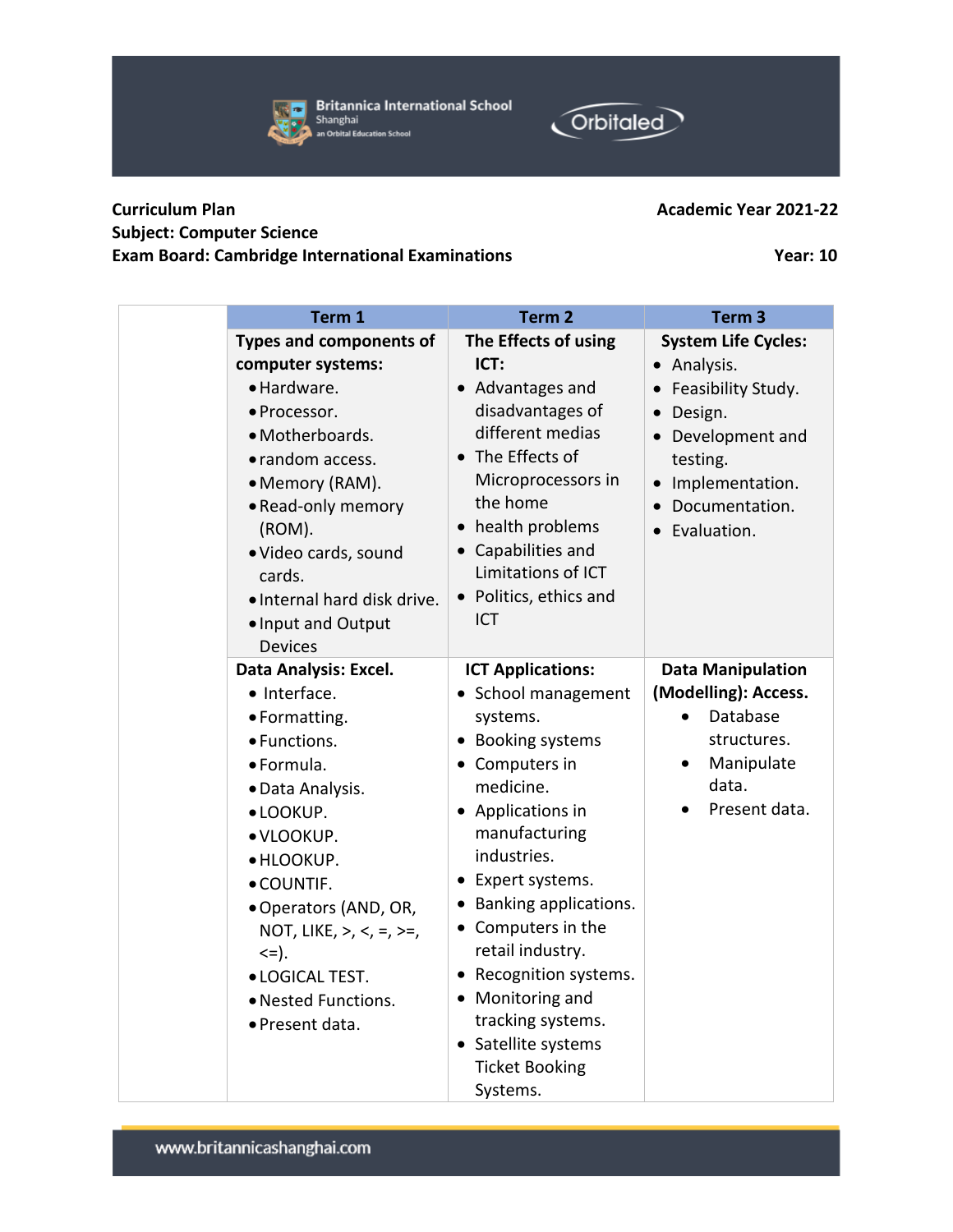| <b>Curriculum Plan</b>                                  | <b>Academic Year 2021-22</b> |
|---------------------------------------------------------|------------------------------|
| <b>Subject: Computer Science</b>                        |                              |
| <b>Exam Board: Cambridge International Examinations</b> | <b>Year: 10</b>              |

| Term 1                               | Term <sub>2</sub>                    | Term <sub>3</sub>                   |
|--------------------------------------|--------------------------------------|-------------------------------------|
| <b>Types and components of</b>       | The Effects of using                 | <b>System Life Cycles:</b>          |
| computer systems:                    | ICT:                                 | · Analysis.                         |
| · Hardware.                          | • Advantages and                     | • Feasibility Study.                |
| • Processor.<br>· Motherboards.      | disadvantages of<br>different medias | Design.<br>$\bullet$                |
| • random access.                     | The Effects of<br>$\bullet$          | • Development and                   |
|                                      | Microprocessors in                   | testing.                            |
| • Memory (RAM).                      | the home                             | • Implementation.<br>Documentation. |
| • Read-only memory<br>(ROM).         | health problems<br>$\bullet$         | Evaluation.                         |
| · Video cards, sound                 | • Capabilities and                   |                                     |
| cards.                               | Limitations of ICT                   |                                     |
| · Internal hard disk drive.          | • Politics, ethics and               |                                     |
| · Input and Output                   | <b>ICT</b>                           |                                     |
| <b>Devices</b>                       |                                      |                                     |
| Data Analysis: Excel.                | <b>ICT Applications:</b>             | <b>Data Manipulation</b>            |
| • Interface.                         | • School management                  | (Modelling): Access.                |
| • Formatting.                        | systems.                             | Database<br>$\bullet$               |
| • Functions.                         | • Booking systems                    | structures.                         |
| · Formula.                           | • Computers in                       | Manipulate<br>$\bullet$             |
| · Data Analysis.                     | medicine.                            | data.                               |
| · LOOKUP.                            | • Applications in                    | Present data.                       |
| · VLOOKUP.                           | manufacturing                        |                                     |
| · HLOOKUP.                           | industries.                          |                                     |
| · COUNTIF.                           | • Expert systems.                    |                                     |
| • Operators (AND, OR,                | • Banking applications.              |                                     |
| NOT, LIKE, $>$ , $<$ , $=$ , $> =$ , | • Computers in the                   |                                     |
| $\leq$ = ).                          | retail industry.                     |                                     |
| · LOGICAL TEST.                      | Recognition systems.<br>$\bullet$    |                                     |
| · Nested Functions.                  | • Monitoring and                     |                                     |
| · Present data.                      | tracking systems.                    |                                     |
|                                      | • Satellite systems                  |                                     |
|                                      | <b>Ticket Booking</b>                |                                     |
|                                      | Systems.                             |                                     |



Orbitaled

| <b>Britannica International School</b> |
|----------------------------------------|
| Shanghai                               |
| an Orbital Education School            |

### **Academic Year 2021-22**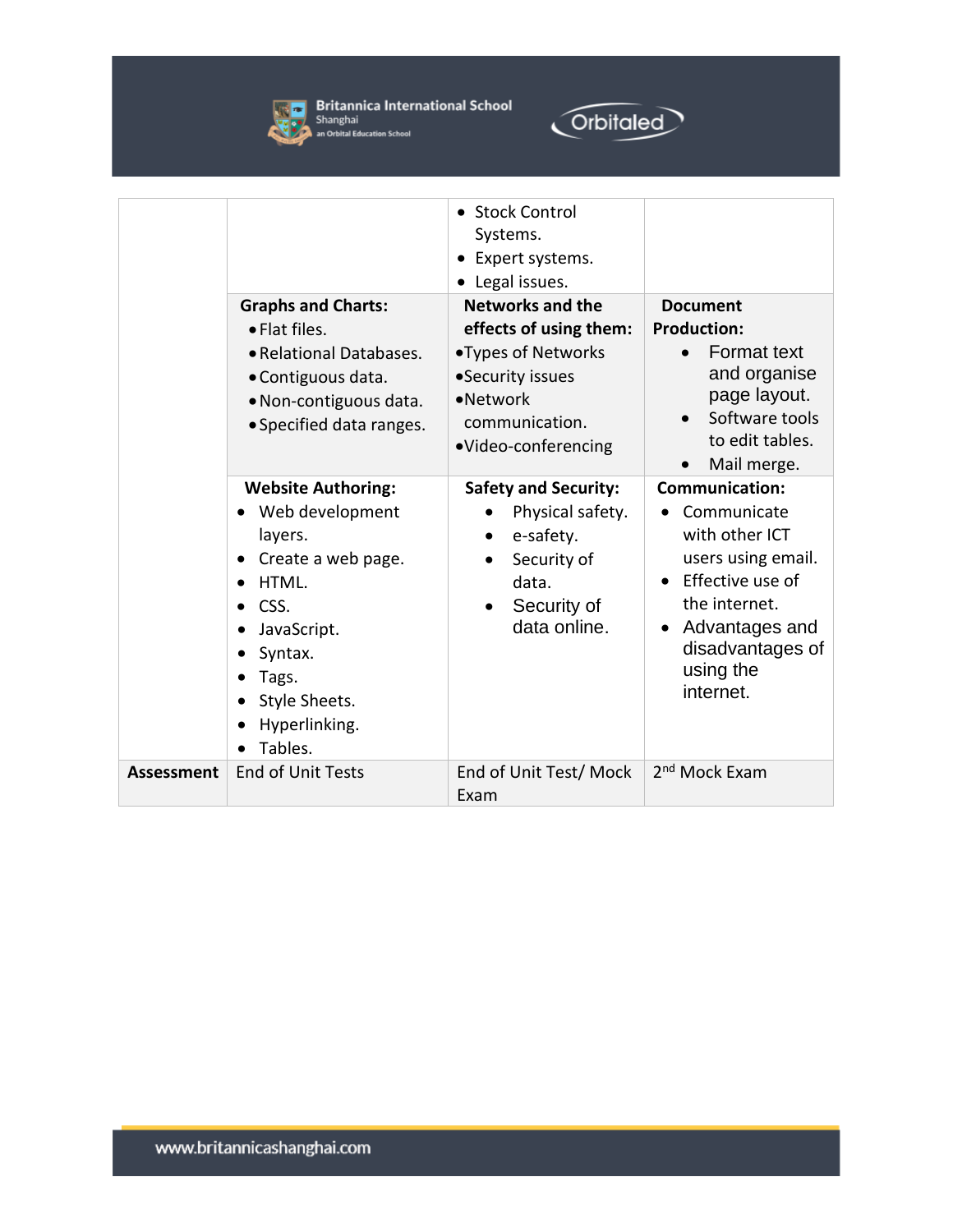



|                   | <b>Graphs and Charts:</b><br>• Flat files.<br>• Relational Databases.<br>• Contiguous data.<br>• Non-contiguous data.<br>• Specified data ranges.                              | • Stock Control<br>Systems.<br>Expert systems.<br>Legal issues.<br><b>Networks and the</b><br>effects of using them:<br>•Types of Networks<br>•Security issues<br>•Network<br>communication.<br>·Video-conferencing | <b>Document</b><br><b>Production:</b><br><b>Format text</b><br>and organise<br>page layout.<br>Software tools<br>to edit tables.<br>Mail merge.                                                |
|-------------------|--------------------------------------------------------------------------------------------------------------------------------------------------------------------------------|---------------------------------------------------------------------------------------------------------------------------------------------------------------------------------------------------------------------|------------------------------------------------------------------------------------------------------------------------------------------------------------------------------------------------|
|                   | <b>Website Authoring:</b><br>Web development<br>layers.<br>Create a web page.<br>HTML.<br>CSS.<br>JavaScript.<br>Syntax.<br>Tags.<br>Style Sheets.<br>Hyperlinking.<br>Tables. | <b>Safety and Security:</b><br>Physical safety.<br>e-safety.<br>$\bullet$<br>Security of<br>data.<br>Security of<br>data online.                                                                                    | <b>Communication:</b><br>Communicate<br>with other ICT<br>users using email.<br>Effective use of<br>the internet.<br>Advantages and<br>$\bullet$<br>disadvantages of<br>using the<br>internet. |
| <b>Assessment</b> | <b>End of Unit Tests</b>                                                                                                                                                       | End of Unit Test/Mock<br>Exam                                                                                                                                                                                       | 2 <sup>nd</sup> Mock Exam                                                                                                                                                                      |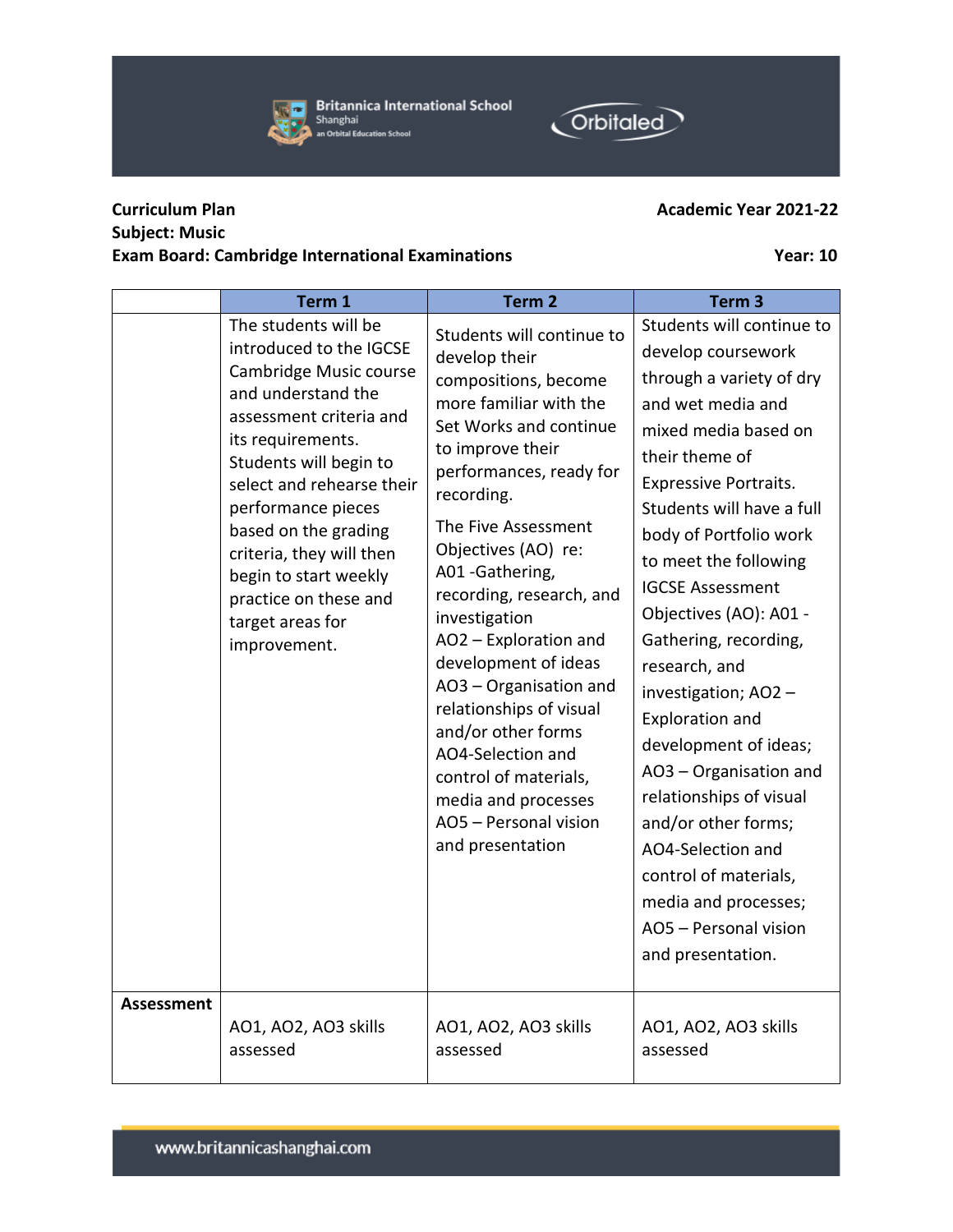**Britannica International School**  $\overline{ }$ Shanghai an Orbital Education School

## **Curriculum Plan Academic Year 2021-22 Subject: Music Exam Board: Cambridge International Examinations Year: 10**

**Orbitaled** 

|                   | Term 1                                                                                                                                                                                                                                                                                                                                                                 | Term <sub>2</sub>                                                                                                                                                                                                                                                                                                                                                                                                                                                                                                                                | Term <sub>3</sub>                                                                                                                                                                                                                                                                                                                                                                                                                                                                                                                                                                                                                    |
|-------------------|------------------------------------------------------------------------------------------------------------------------------------------------------------------------------------------------------------------------------------------------------------------------------------------------------------------------------------------------------------------------|--------------------------------------------------------------------------------------------------------------------------------------------------------------------------------------------------------------------------------------------------------------------------------------------------------------------------------------------------------------------------------------------------------------------------------------------------------------------------------------------------------------------------------------------------|--------------------------------------------------------------------------------------------------------------------------------------------------------------------------------------------------------------------------------------------------------------------------------------------------------------------------------------------------------------------------------------------------------------------------------------------------------------------------------------------------------------------------------------------------------------------------------------------------------------------------------------|
| <b>Assessment</b> | The students will be<br>introduced to the IGCSE<br>Cambridge Music course<br>and understand the<br>assessment criteria and<br>its requirements.<br>Students will begin to<br>select and rehearse their<br>performance pieces<br>based on the grading<br>criteria, they will then<br>begin to start weekly<br>practice on these and<br>target areas for<br>improvement. | Students will continue to<br>develop their<br>compositions, become<br>more familiar with the<br>Set Works and continue<br>to improve their<br>performances, ready for<br>recording.<br>The Five Assessment<br>Objectives (AO) re:<br>A01 - Gathering,<br>recording, research, and<br>investigation<br>AO2 - Exploration and<br>development of ideas<br>AO3 - Organisation and<br>relationships of visual<br>and/or other forms<br>AO4-Selection and<br>control of materials,<br>media and processes<br>AO5 - Personal vision<br>and presentation | Students will continue to<br>develop coursework<br>through a variety of dry<br>and wet media and<br>mixed media based on<br>their theme of<br><b>Expressive Portraits.</b><br>Students will have a full<br>body of Portfolio work<br>to meet the following<br><b>IGCSE Assessment</b><br>Objectives (AO): A01 -<br>Gathering, recording,<br>research, and<br>investigation; AO2 -<br><b>Exploration and</b><br>development of ideas;<br>AO3 - Organisation and<br>relationships of visual<br>and/or other forms;<br>AO4-Selection and<br>control of materials,<br>media and processes;<br>AO5 - Personal vision<br>and presentation. |
|                   | AO1, AO2, AO3 skills<br>assessed                                                                                                                                                                                                                                                                                                                                       | AO1, AO2, AO3 skills<br>assessed                                                                                                                                                                                                                                                                                                                                                                                                                                                                                                                 | AO1, AO2, AO3 skills<br>assessed                                                                                                                                                                                                                                                                                                                                                                                                                                                                                                                                                                                                     |

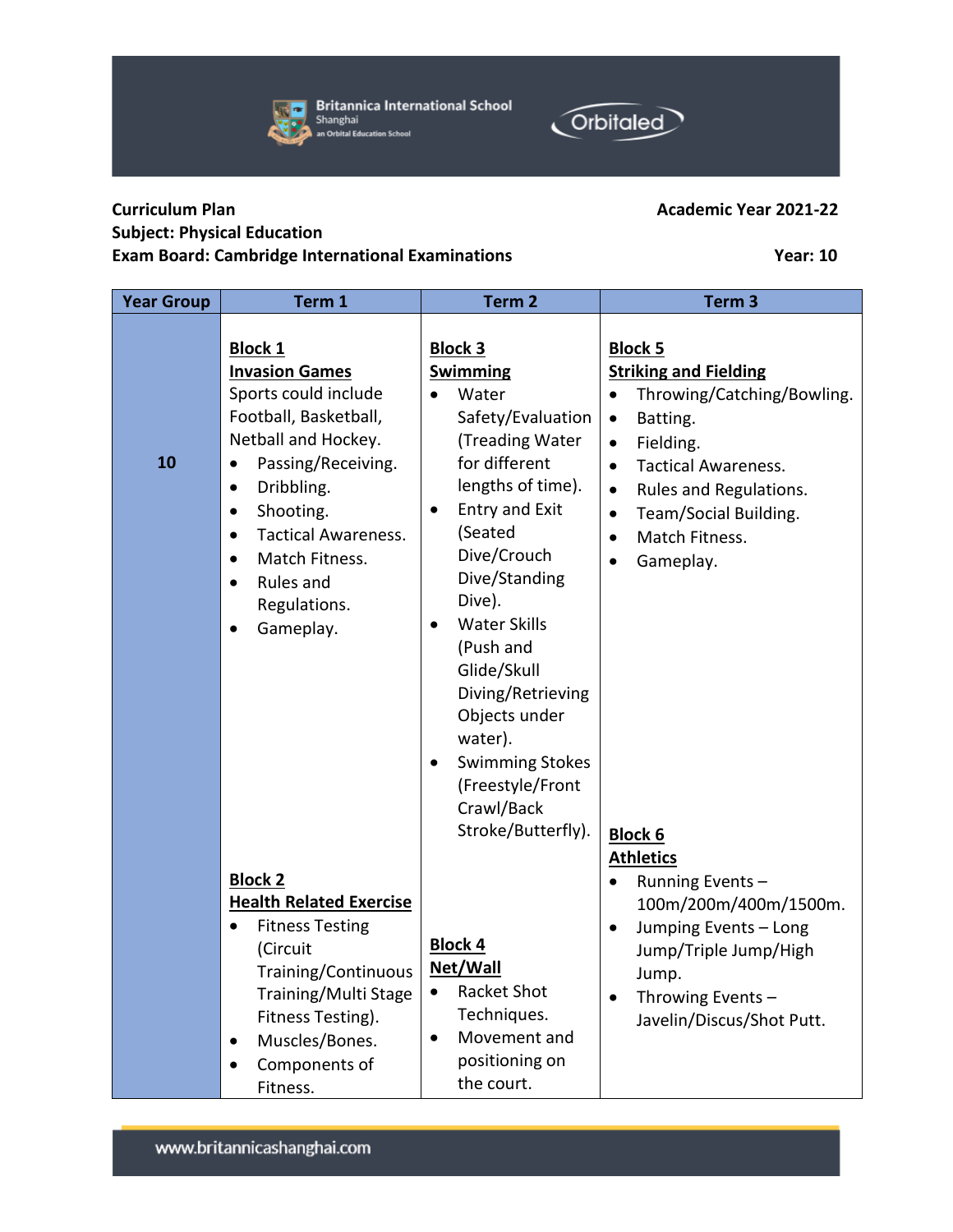| <b>Curriculum Plan</b>             | <b>Academic Year 2021-22</b> |
|------------------------------------|------------------------------|
| <b>Subject: Physical Education</b> |                              |

## **Exam Board: Cambridge International Examinations Year: 10**

| <b>Year Group</b> | Term 1                                                                                                                                                                                                                                                                                                                                                | Term <sub>2</sub>                                                                                                                                                                                                                                                                                                                                                                                           | Term <sub>3</sub>                                                                                                                                                                                                                                                                                                |
|-------------------|-------------------------------------------------------------------------------------------------------------------------------------------------------------------------------------------------------------------------------------------------------------------------------------------------------------------------------------------------------|-------------------------------------------------------------------------------------------------------------------------------------------------------------------------------------------------------------------------------------------------------------------------------------------------------------------------------------------------------------------------------------------------------------|------------------------------------------------------------------------------------------------------------------------------------------------------------------------------------------------------------------------------------------------------------------------------------------------------------------|
| 10                | <b>Block 1</b><br><b>Invasion Games</b><br>Sports could include<br>Football, Basketball,<br>Netball and Hockey.<br>Passing/Receiving.<br>$\bullet$<br>Dribbling.<br>$\bullet$<br>Shooting.<br>$\bullet$<br><b>Tactical Awareness.</b><br>$\bullet$<br>Match Fitness.<br>$\bullet$<br>Rules and<br>$\bullet$<br>Regulations.<br>Gameplay.<br>$\bullet$ | <b>Block 3</b><br><b>Swimming</b><br>Water<br>$\bullet$<br>Safety/Evaluation<br>(Treading Water<br>for different<br>lengths of time).<br>Entry and Exit<br>٠<br>(Seated<br>Dive/Crouch<br>Dive/Standing<br>Dive).<br><b>Water Skills</b><br>$\bullet$<br>(Push and<br>Glide/Skull<br>Diving/Retrieving<br>Objects under<br>water).<br><b>Swimming Stokes</b><br>$\bullet$<br>(Freestyle/Front<br>Crawl/Back | <b>Block 5</b><br><b>Striking and Fielding</b><br>Throwing/Catching/Bowling.<br>$\bullet$<br>Batting.<br>$\bullet$<br>Fielding.<br>$\bullet$<br><b>Tactical Awareness.</b><br>$\bullet$<br>Rules and Regulations.<br>$\bullet$<br>Team/Social Building.<br>$\bullet$<br>Match Fitness.<br>$\bullet$<br>Gameplay. |
|                   | <b>Block 2</b><br><b>Health Related Exercise</b><br><b>Fitness Testing</b><br>(Circuit<br>Training/Continuous<br>Training/Multi Stage<br>Fitness Testing).<br>Muscles/Bones.<br>$\bullet$<br>Components of<br>$\bullet$<br>Fitness.                                                                                                                   | Stroke/Butterfly).<br><b>Block 4</b><br>Net/Wall<br><b>Racket Shot</b><br>Techniques.<br>Movement and<br>$\bullet$<br>positioning on<br>the court.                                                                                                                                                                                                                                                          | <b>Block 6</b><br><b>Athletics</b><br>Running Events-<br>$\bullet$<br>100m/200m/400m/1500m.<br>Jumping Events - Long<br>$\bullet$<br>Jump/Triple Jump/High<br>Jump.<br>Throwing Events -<br>$\bullet$<br>Javelin/Discus/Shot Putt.                                                                               |





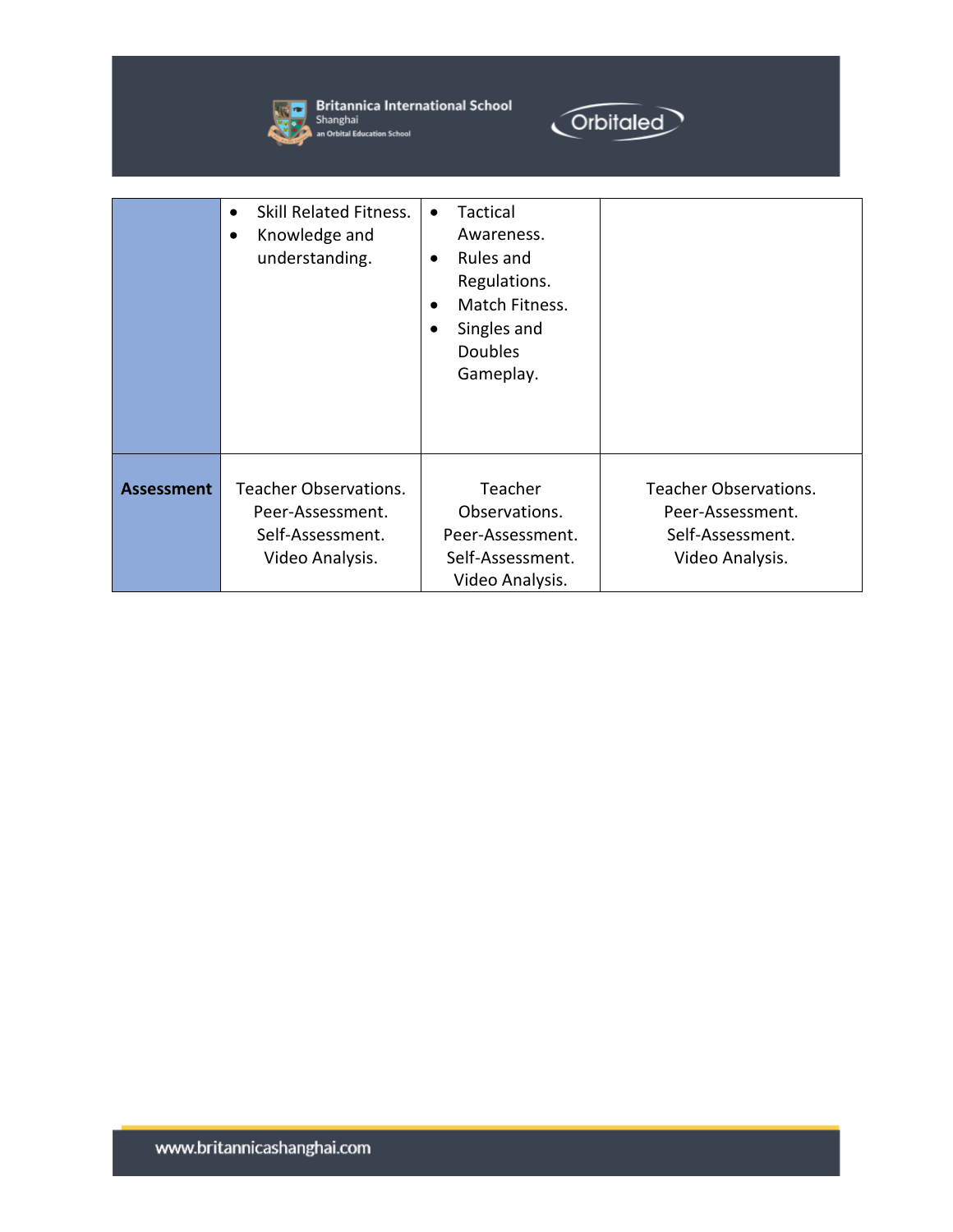

**Strict Britannica International School**<br>Shanghai<br>**All An Orbital Education School** 



|                   | <b>Skill Related Fitness.</b><br>$\bullet$<br>Knowledge and<br>$\bullet$<br>understanding. | Tactical<br>$\bullet$<br>Awareness.<br>Rules and<br>$\bullet$<br>Regulations.<br>Match Fitness.<br>$\bullet$<br>Singles and<br>$\bullet$<br><b>Doubles</b><br>Gameplay. |                                                                                         |
|-------------------|--------------------------------------------------------------------------------------------|-------------------------------------------------------------------------------------------------------------------------------------------------------------------------|-----------------------------------------------------------------------------------------|
| <b>Assessment</b> | <b>Teacher Observations.</b><br>Peer-Assessment.<br>Self-Assessment.<br>Video Analysis.    | Teacher<br>Observations.<br>Peer-Assessment.<br>Self-Assessment.<br>Video Analysis.                                                                                     | <b>Teacher Observations.</b><br>Peer-Assessment.<br>Self-Assessment.<br>Video Analysis. |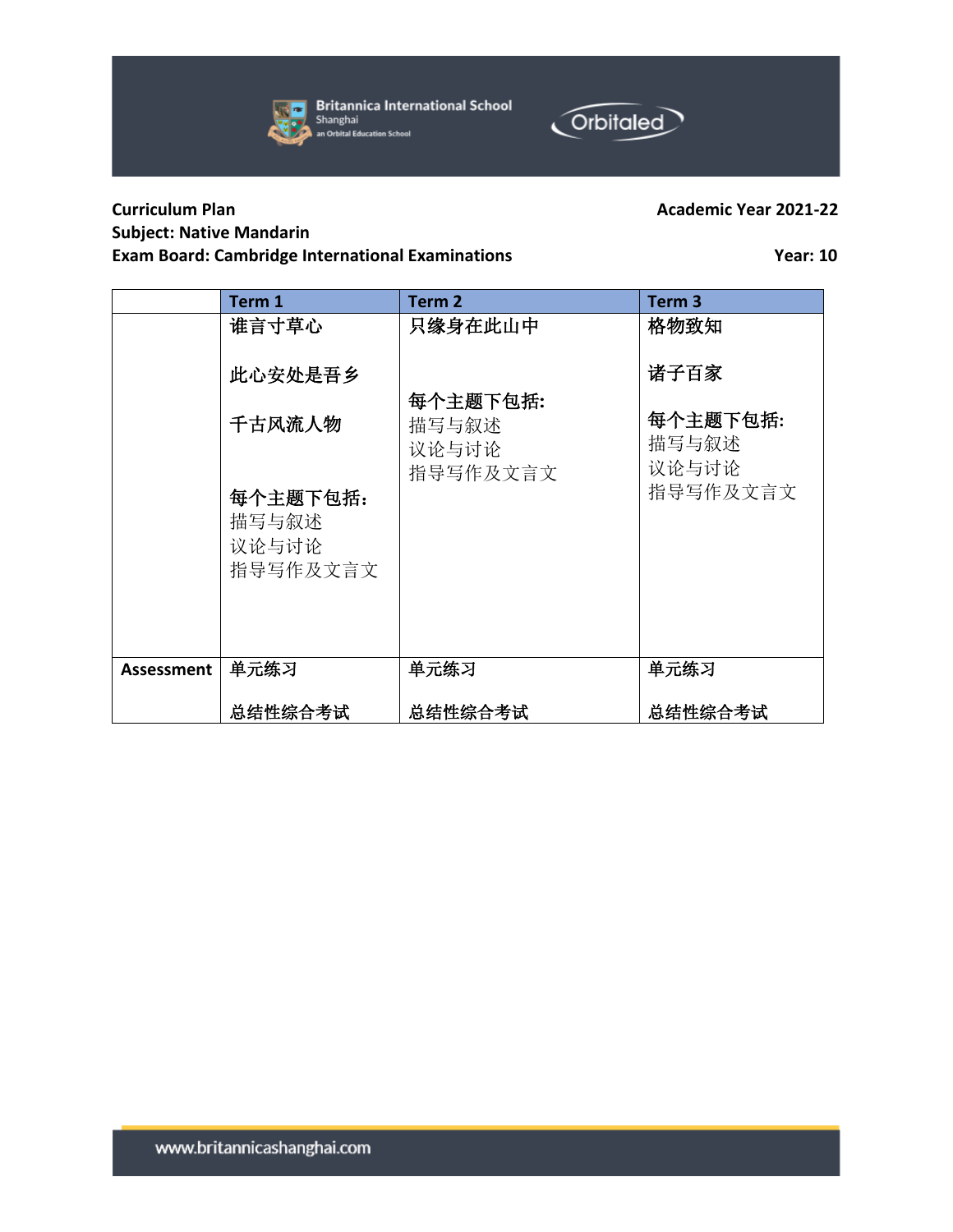



## **Curriculum Plan Academic Year 2021-22 Subject: Native Mandarin Exam Board: Cambridge International Examinations Year: 10**

|                   | Term 1                                 | Term <sub>2</sub>                      | Term <sub>3</sub>          |
|-------------------|----------------------------------------|----------------------------------------|----------------------------|
|                   | 谁言寸草心                                  | 只缘身在此山中                                | 格物致知                       |
|                   | 此心安处是吾乡                                |                                        | 诸子百家                       |
|                   | 千古风流人物                                 | 每个主题下包括:<br>描写与叙述<br>议论与讨论<br>指导写作及文言文 | 每个主题下包括:<br>描写与叙述<br>议论与讨论 |
|                   | 每个主题下包括:<br>描写与叙述<br>议论与讨论<br>指导写作及文言文 |                                        | 指导写作及文言文                   |
| <b>Assessment</b> | 单元练习                                   | 单元练习                                   | 单元练习                       |
|                   | 总结性综合考试                                | 总结性综合考试                                | 总结性综合考试                    |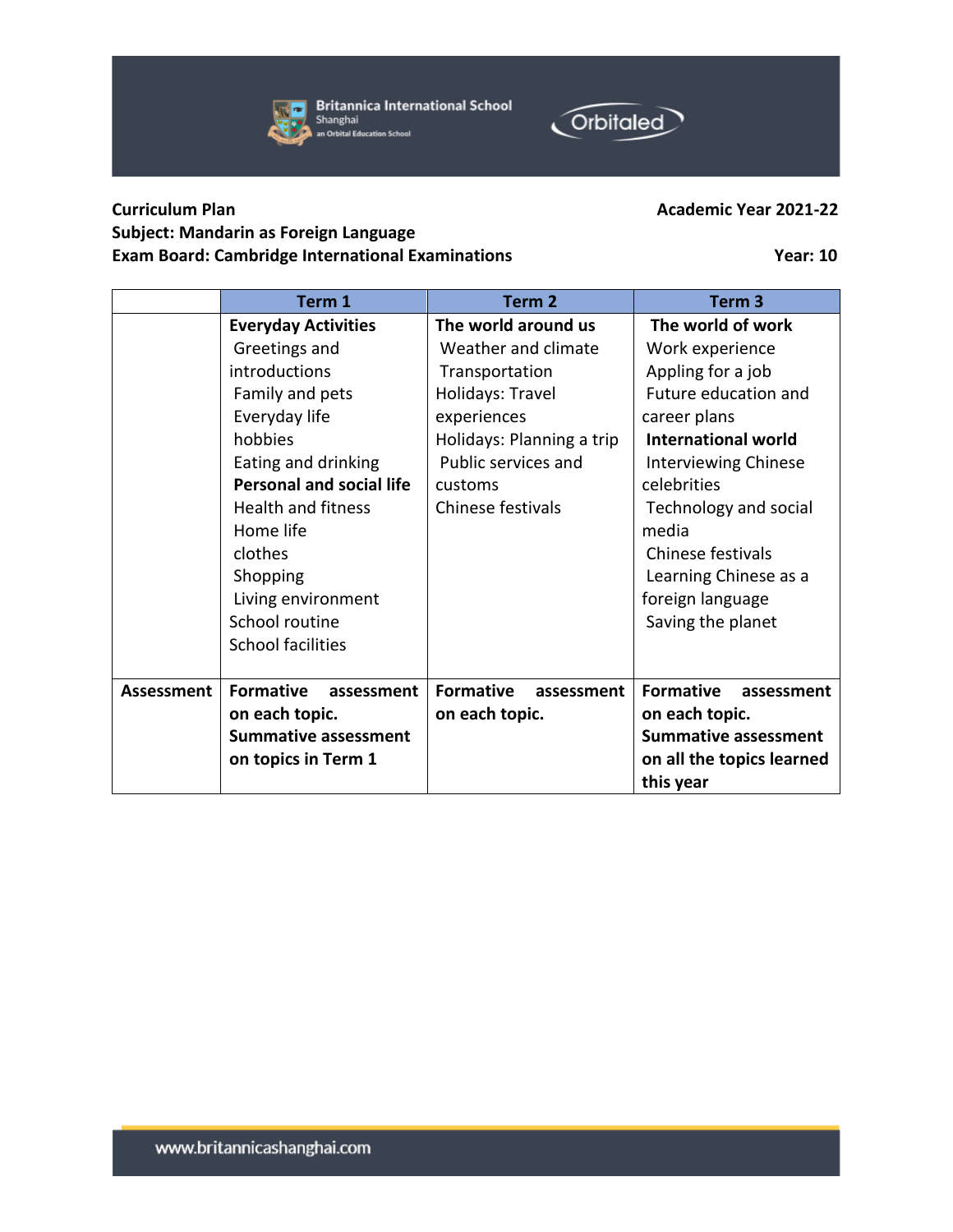

**Britannica International School** Shanghai an Orbital Education School



## **Curriculum Plan Academic Year 2021-22 Subject: Mandarin as Foreign Language Exam Board: Cambridge International Examinations Year: 10**

|            | Term 1                          | Term <sub>2</sub>              | Term <sub>3</sub>              |
|------------|---------------------------------|--------------------------------|--------------------------------|
|            | <b>Everyday Activities</b>      | The world around us            | The world of work              |
|            | Greetings and                   | Weather and climate            | Work experience                |
|            | introductions                   | Transportation                 | Appling for a job              |
|            | Family and pets                 | Holidays: Travel               | Future education and           |
|            | Everyday life                   | experiences                    | career plans                   |
|            | hobbies                         | Holidays: Planning a trip      | <b>International world</b>     |
|            | Eating and drinking             | Public services and            | Interviewing Chinese           |
|            | <b>Personal and social life</b> | customs                        | celebrities                    |
|            | <b>Health and fitness</b>       | Chinese festivals              | Technology and social          |
|            | Home life                       |                                | media                          |
|            | clothes                         |                                | Chinese festivals              |
|            | Shopping                        |                                | Learning Chinese as a          |
|            | Living environment              |                                | foreign language               |
|            | School routine                  |                                | Saving the planet              |
|            | <b>School facilities</b>        |                                |                                |
|            |                                 |                                |                                |
| Assessment | <b>Formative</b><br>assessment  | <b>Formative</b><br>assessment | <b>Formative</b><br>assessment |
|            | on each topic.                  | on each topic.                 | on each topic.                 |
|            | <b>Summative assessment</b>     |                                | <b>Summative assessment</b>    |
|            | on topics in Term 1             |                                | on all the topics learned      |
|            |                                 |                                | this year                      |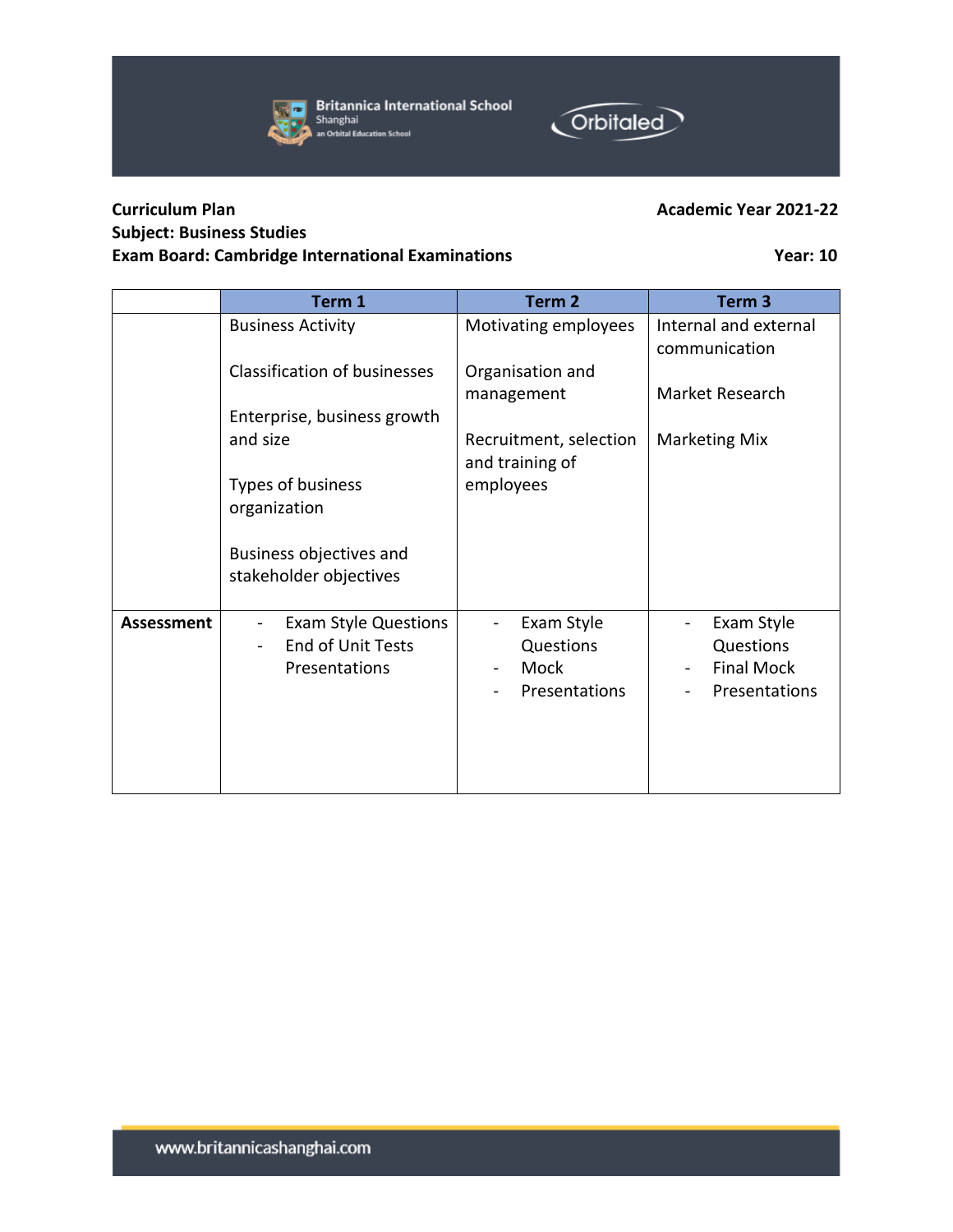



## **Curriculum Plan Academic Year 2021-22 Subject: Business Studies Exam Board: Cambridge International Examinations Year: 10**

|                   | Term 1                                                                   | Term 2                                                                           | Term <sub>3</sub>                                             |
|-------------------|--------------------------------------------------------------------------|----------------------------------------------------------------------------------|---------------------------------------------------------------|
|                   | <b>Business Activity</b>                                                 | Motivating employees                                                             | Internal and external<br>communication                        |
|                   | <b>Classification of businesses</b>                                      | Organisation and<br>management                                                   | Market Research                                               |
|                   | Enterprise, business growth                                              |                                                                                  |                                                               |
|                   | and size                                                                 | Recruitment, selection<br>and training of                                        | <b>Marketing Mix</b>                                          |
|                   | Types of business<br>organization                                        | employees                                                                        |                                                               |
|                   | Business objectives and<br>stakeholder objectives                        |                                                                                  |                                                               |
| <b>Assessment</b> | <b>Exam Style Questions</b><br><b>End of Unit Tests</b><br>Presentations | Exam Style<br>Questions<br>Mock<br>$\qquad \qquad \blacksquare$<br>Presentations | Exam Style<br>Questions<br><b>Final Mock</b><br>Presentations |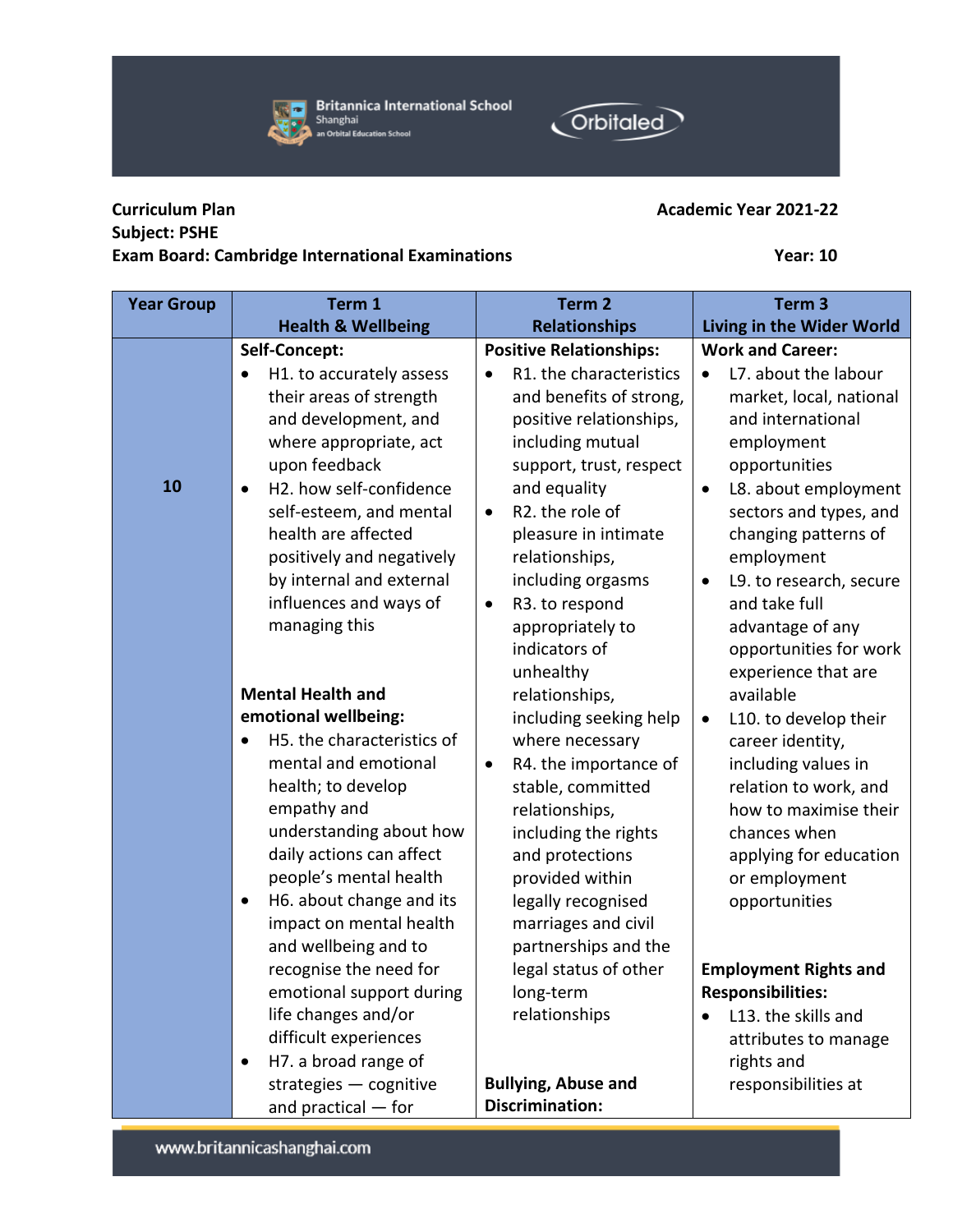

**Britannica International School** Shanghai<br>an Orbital Education School



## **Curriculum Plan Academic Year 2021-22 Subject: PSHE Exam Board: Cambridge International Examinations Year: 10**

| <b>Year Group</b> | Term 1                                                                                                                                                                                                                                                                                                                                            | Term <sub>2</sub>                                                                                                                                                                                                                                                              | Term <sub>3</sub>                                                                                                                                                                                                                                                      |
|-------------------|---------------------------------------------------------------------------------------------------------------------------------------------------------------------------------------------------------------------------------------------------------------------------------------------------------------------------------------------------|--------------------------------------------------------------------------------------------------------------------------------------------------------------------------------------------------------------------------------------------------------------------------------|------------------------------------------------------------------------------------------------------------------------------------------------------------------------------------------------------------------------------------------------------------------------|
|                   | <b>Health &amp; Wellbeing</b>                                                                                                                                                                                                                                                                                                                     | <b>Relationships</b>                                                                                                                                                                                                                                                           | Living in the Wider World                                                                                                                                                                                                                                              |
|                   | Self-Concept:                                                                                                                                                                                                                                                                                                                                     | <b>Positive Relationships:</b>                                                                                                                                                                                                                                                 | <b>Work and Career:</b>                                                                                                                                                                                                                                                |
| 10                | H1. to accurately assess<br>$\bullet$<br>their areas of strength<br>and development, and<br>where appropriate, act<br>upon feedback<br>H2. how self-confidence<br>$\bullet$<br>self-esteem, and mental<br>health are affected<br>positively and negatively<br>by internal and external<br>influences and ways of                                  | R1. the characteristics<br>and benefits of strong,<br>positive relationships,<br>including mutual<br>support, trust, respect<br>and equality<br>R2. the role of<br>$\bullet$<br>pleasure in intimate<br>relationships,<br>including orgasms<br>R3. to respond<br>$\bullet$     | L7. about the labour<br>$\bullet$<br>market, local, national<br>and international<br>employment<br>opportunities<br>L8. about employment<br>٠<br>sectors and types, and<br>changing patterns of<br>employment<br>L9. to research, secure<br>$\bullet$<br>and take full |
|                   | managing this                                                                                                                                                                                                                                                                                                                                     | appropriately to<br>indicators of<br>unhealthy                                                                                                                                                                                                                                 | advantage of any<br>opportunities for work<br>experience that are                                                                                                                                                                                                      |
|                   | <b>Mental Health and</b>                                                                                                                                                                                                                                                                                                                          | relationships,                                                                                                                                                                                                                                                                 | available                                                                                                                                                                                                                                                              |
|                   | emotional wellbeing:                                                                                                                                                                                                                                                                                                                              | including seeking help                                                                                                                                                                                                                                                         | L10. to develop their<br>$\bullet$                                                                                                                                                                                                                                     |
|                   | H5. the characteristics of<br>mental and emotional<br>health; to develop<br>empathy and<br>understanding about how<br>daily actions can affect<br>people's mental health<br>H6. about change and its<br>$\bullet$<br>impact on mental health<br>and wellbeing and to<br>recognise the need for<br>emotional support during<br>life changes and/or | where necessary<br>R4. the importance of<br>٠<br>stable, committed<br>relationships,<br>including the rights<br>and protections<br>provided within<br>legally recognised<br>marriages and civil<br>partnerships and the<br>legal status of other<br>long-term<br>relationships | career identity,<br>including values in<br>relation to work, and<br>how to maximise their<br>chances when<br>applying for education<br>or employment<br>opportunities<br><b>Employment Rights and</b><br><b>Responsibilities:</b><br>L13. the skills and               |
|                   | difficult experiences                                                                                                                                                                                                                                                                                                                             |                                                                                                                                                                                                                                                                                | attributes to manage                                                                                                                                                                                                                                                   |
|                   | H7. a broad range of                                                                                                                                                                                                                                                                                                                              |                                                                                                                                                                                                                                                                                | rights and                                                                                                                                                                                                                                                             |
|                   | strategies - cognitive<br>and practical $-$ for                                                                                                                                                                                                                                                                                                   | <b>Bullying, Abuse and</b><br><b>Discrimination:</b>                                                                                                                                                                                                                           | responsibilities at                                                                                                                                                                                                                                                    |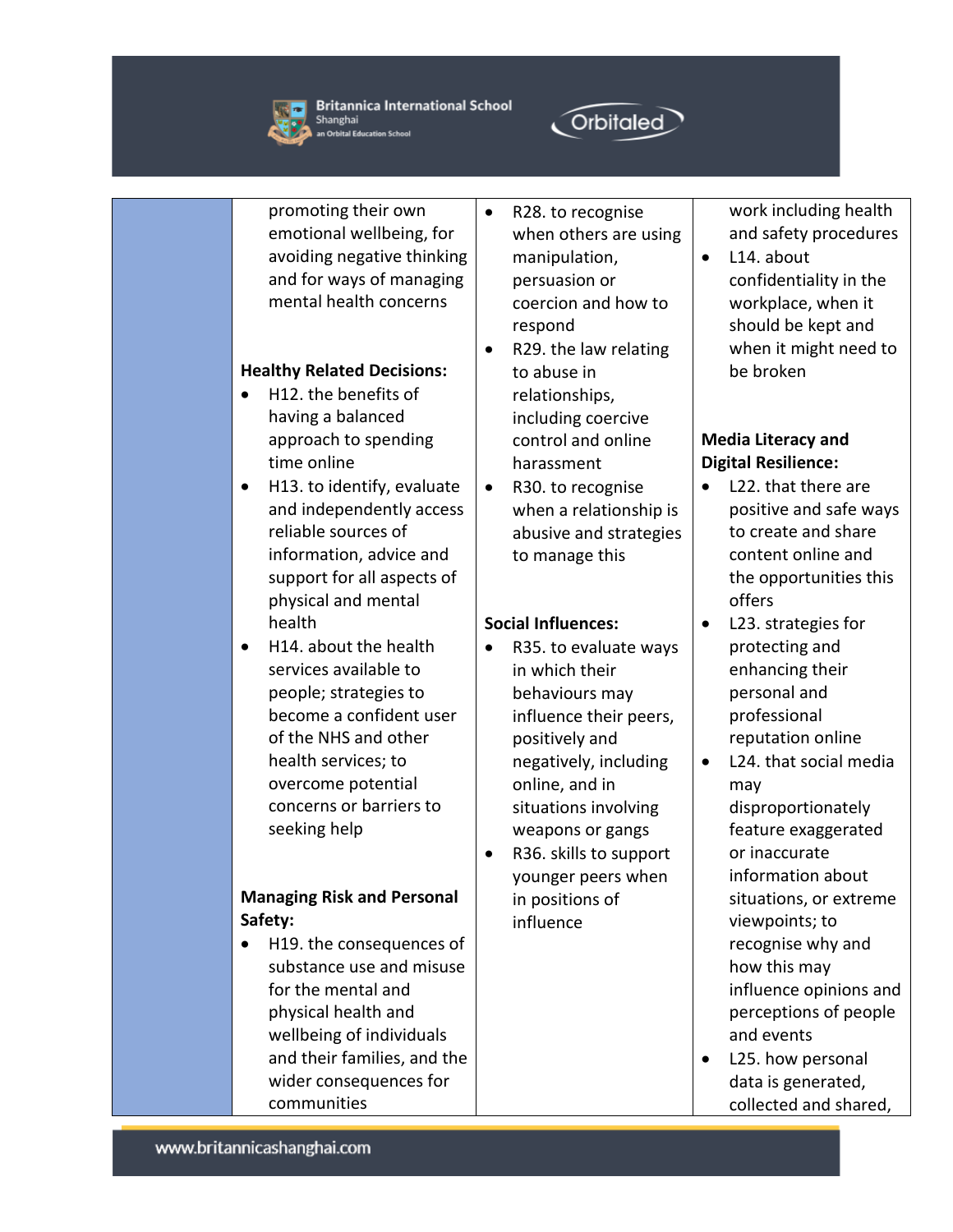



promoting their own emotional wellbeing, for avoiding negative thinking and for ways of managing mental health concerns

### **Healthy Related Decisions:**

- H12. the benefits of having a balanced approach to spending time online
- H13. to identify, evaluate and independently access reliable sources of information, advice and support for all aspects of physical and mental health
- H14. about the health services available to people; strategies to become a confident user of the NHS and other health services; to overcome potential concerns or barriers to seeking help

### **Managing Risk and Personal Safety:**

• H19. the consequences of substance use and misuse for the mental and physical health and wellbeing of individuals and their families, and the wider consequences for communities

- R28. to recognise when others are using manipulation, persuasion or coercion and how to respond
- R29. the law relating to abuse in relationships, including coercive control and online harassment
- R30. to recognise when a relationship is abusive and strategies to manage this

### **Social Influences:**

- R35. to evaluate ways in which their behaviours may influence their peers, positively and negatively, including online, and in situations involving weapons or gangs
- R36. skills to support younger peers when in positions of influence

work including health and safety procedures

• L14. about confidentiality in the workplace, when it should be kept and when it might need to be broken

### **Media Literacy and Digital Resilience:**

- L22. that there are positive and safe ways to create and share content online and the opportunities this offers
- L23. strategies for protecting and enhancing their personal and professional reputation online
- L24. that social media may disproportionately feature exaggerated or inaccurate information about situations, or extreme viewpoints; to recognise why and how this may influence opinions and perceptions of people and events
- L25. how personal data is generated, collected and shared,